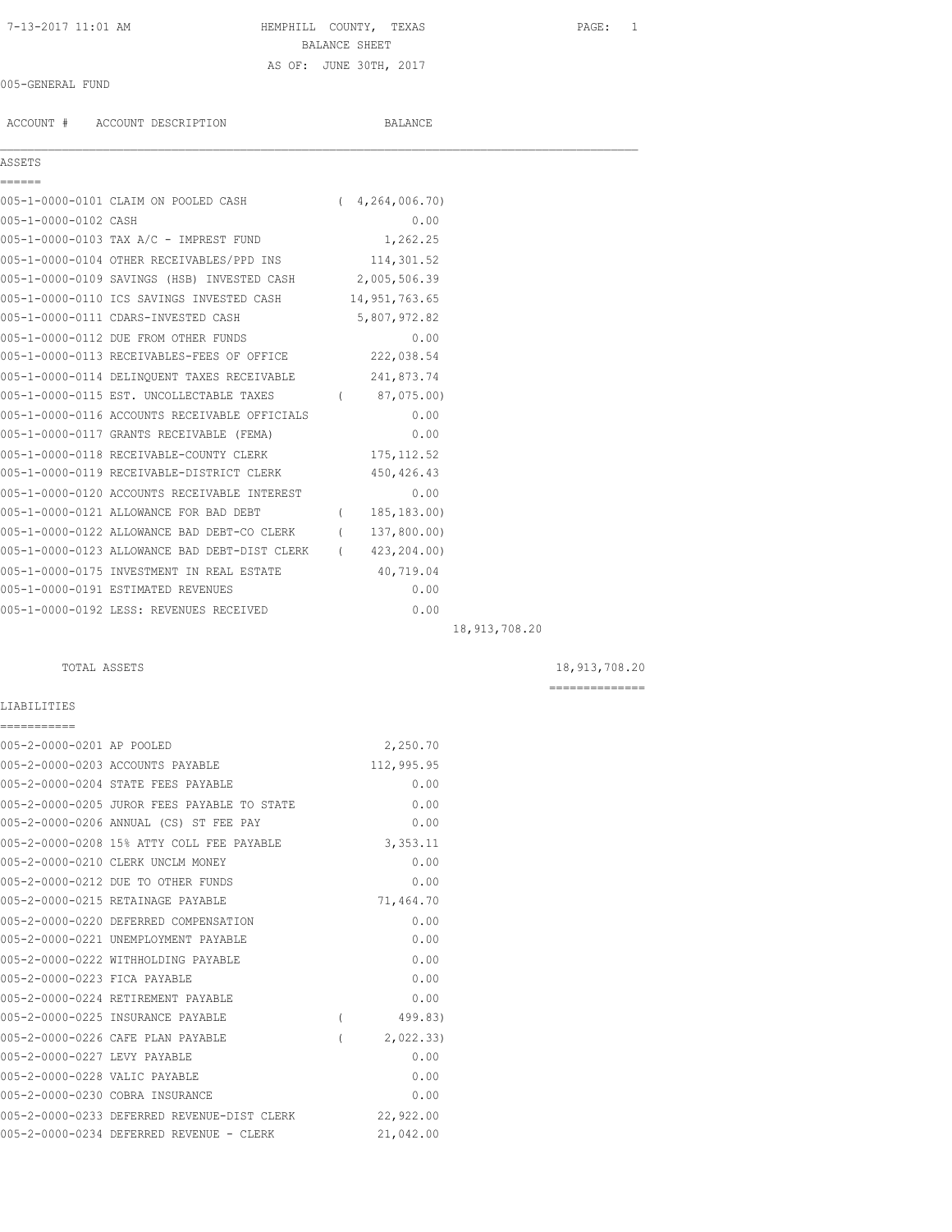## 7-13-2017 11:01 AM HEMPHILL COUNTY, TEXAS PAGE: 1 BALANCE SHEET AS OF: JUNE 30TH, 2017

 $\mathcal{L}_\mathcal{L} = \mathcal{L}_\mathcal{L}$ 

### 005-GENERAL FUND

ACCOUNT # ACCOUNT DESCRIPTION BALANCE

### ASSETS

| ------               |                                                            |                |                 |
|----------------------|------------------------------------------------------------|----------------|-----------------|
|                      | 005-1-0000-0101 CLAIM ON POOLED CASH (4,264,006.70)        |                |                 |
| 005-1-0000-0102 CASH |                                                            | 0.00           |                 |
|                      | 005-1-0000-0103 TAX A/C - IMPREST FUND 1,262.25            |                |                 |
|                      | 005-1-0000-0104 OTHER RECEIVABLES/PPD INS 114,301.52       |                |                 |
|                      | 005-1-0000-0109 SAVINGS (HSB) INVESTED CASH 2,005,506.39   |                |                 |
|                      | 005-1-0000-0110 ICS SAVINGS INVESTED CASH 14,951,763.65    |                |                 |
|                      | 005-1-0000-0111 CDARS-INVESTED CASH                        | 5,807,972.82   |                 |
|                      | 005-1-0000-0112 DUE FROM OTHER FUNDS                       | 0.00           |                 |
|                      | 005-1-0000-0113 RECEIVABLES-FEES OF OFFICE 222,038.54      |                |                 |
|                      | 005-1-0000-0114 DELINQUENT TAXES RECEIVABLE 241,873.74     |                |                 |
|                      | 005-1-0000-0115 EST. UNCOLLECTABLE TAXES (87,075.00)       |                |                 |
|                      | 005-1-0000-0116 ACCOUNTS RECEIVABLE OFFICIALS              | 0.00           |                 |
|                      | 005-1-0000-0117 GRANTS RECEIVABLE (FEMA)                   | 0.00           |                 |
|                      | 005-1-0000-0118 RECEIVABLE-COUNTY CLERK                    | 175, 112.52    |                 |
|                      | 005-1-0000-0119 RECEIVABLE-DISTRICT CLERK 450,426.43       |                |                 |
|                      | 005-1-0000-0120 ACCOUNTS RECEIVABLE INTEREST               | 0.00           |                 |
|                      | 005-1-0000-0121 ALLOWANCE FOR BAD DEBT                     | (185, 183, 00) |                 |
|                      | 005-1-0000-0122 ALLOWANCE BAD DEBT-CO CLERK (137,800.00)   |                |                 |
|                      | 005-1-0000-0123 ALLOWANCE BAD DEBT-DIST CLERK (423,204.00) |                |                 |
|                      | 005-1-0000-0175 INVESTMENT IN REAL ESTATE 40,719.04        |                |                 |
|                      | 005-1-0000-0191 ESTIMATED REVENUES                         | 0.00           |                 |
|                      | 005-1-0000-0192 LESS: REVENUES RECEIVED                    | 0.00           |                 |
|                      |                                                            |                | 18, 913, 708.20 |

LIABILITIES ===========

TOTAL ASSETS 18,913,708.20

| 005-2-0000-0201 AP POOLED     |                                             |                | 2,250.70   |
|-------------------------------|---------------------------------------------|----------------|------------|
|                               | 005-2-0000-0203 ACCOUNTS PAYABLE            |                | 112,995.95 |
|                               | 005-2-0000-0204 STATE FEES PAYABLE          |                | 0.00       |
|                               | 005-2-0000-0205 JUROR FEES PAYABLE TO STATE |                | 0.00       |
|                               | 005-2-0000-0206 ANNUAL (CS) ST FEE PAY      |                | 0.00       |
|                               | 005-2-0000-0208 15% ATTY COLL FEE PAYABLE   |                | 3,353.11   |
|                               | 005-2-0000-0210 CLERK UNCLM MONEY           |                | 0.00       |
|                               | 005-2-0000-0212 DUE TO OTHER FUNDS          |                | 0.00       |
|                               | 005-2-0000-0215 RETAINAGE PAYABLE           |                | 71,464.70  |
|                               | 005-2-0000-0220 DEFERRED COMPENSATION       |                | 0.00       |
|                               | 005-2-0000-0221 UNEMPLOYMENT PAYABLE        |                | 0.00       |
|                               | 005-2-0000-0222 WITHHOLDING PAYABLE         |                | 0.00       |
| 005-2-0000-0223 FICA PAYABLE  |                                             |                | 0.00       |
|                               | 005-2-0000-0224 RETIREMENT PAYABLE          |                | 0.00       |
|                               | 005-2-0000-0225 INSURANCE PAYABLE           | $\overline{(}$ | 499.83)    |
|                               | 005-2-0000-0226 CAFE PLAN PAYABLE           |                | 2,022.33   |
| 005-2-0000-0227 LEVY PAYABLE  |                                             |                | 0.00       |
| 005-2-0000-0228 VALIC PAYABLE |                                             |                | 0.00       |
|                               | 005-2-0000-0230 COBRA INSURANCE             |                | 0.00       |
|                               | 005-2-0000-0233 DEFERRED REVENUE-DIST CLERK |                | 22,922.00  |
|                               | 005-2-0000-0234 DEFERRED REVENUE - CLERK    |                | 21,042.00  |
|                               |                                             |                |            |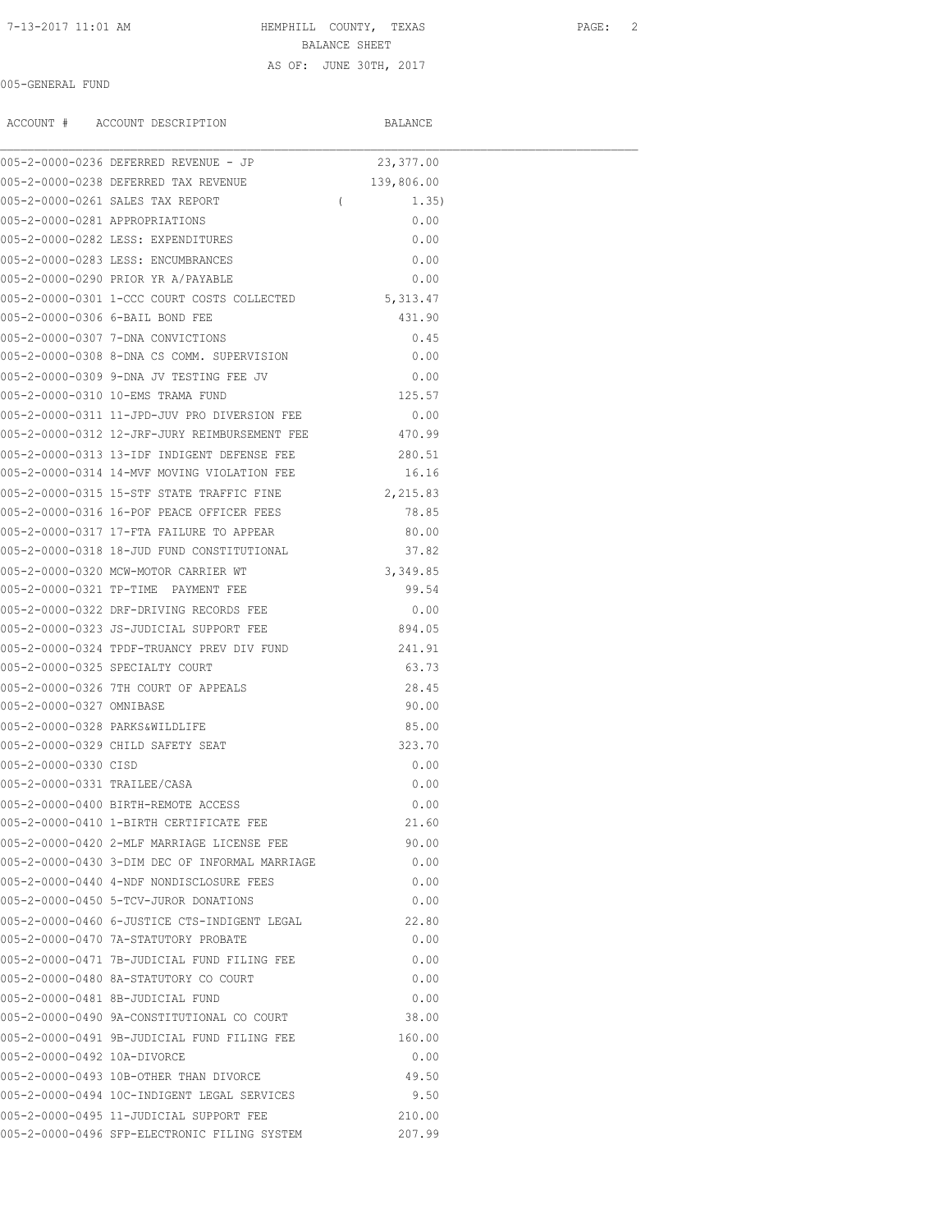## 7-13-2017 11:01 AM HEMPHILL COUNTY, TEXAS PAGE: 2 BALANCE SHEET

005-GENERAL FUND

AS OF: JUNE 30TH, 2017

|                              | ACCOUNT # ACCOUNT DESCRIPTION                        |            | BALANCE    |  |
|------------------------------|------------------------------------------------------|------------|------------|--|
|                              | 005-2-0000-0236 DEFERRED REVENUE - JP                |            | 23,377.00  |  |
|                              | 005-2-0000-0238 DEFERRED TAX REVENUE                 |            | 139,806.00 |  |
|                              | 005-2-0000-0261 SALES TAX REPORT                     | $\sqrt{2}$ | 1.35)      |  |
|                              | 005-2-0000-0281 APPROPRIATIONS                       |            | 0.00       |  |
|                              | 005-2-0000-0282 LESS: EXPENDITURES                   |            | 0.00       |  |
|                              | 005-2-0000-0283 LESS: ENCUMBRANCES                   |            | 0.00       |  |
|                              | 005-2-0000-0290 PRIOR YR A/PAYABLE                   |            | 0.00       |  |
|                              | 005-2-0000-0301 1-CCC COURT COSTS COLLECTED          |            | 5,313.47   |  |
|                              | 005-2-0000-0306 6-BAIL BOND FEE                      |            | 431.90     |  |
|                              | 005-2-0000-0307 7-DNA CONVICTIONS                    |            | 0.45       |  |
|                              | 005-2-0000-0308 8-DNA CS COMM. SUPERVISION           |            | 0.00       |  |
|                              | 005-2-0000-0309 9-DNA JV TESTING FEE JV              |            | 0.00       |  |
|                              | 005-2-0000-0310 10-EMS TRAMA FUND                    |            | 125.57     |  |
|                              | 005-2-0000-0311 11-JPD-JUV PRO DIVERSION FEE         |            | 0.00       |  |
|                              | 005-2-0000-0312 12-JRF-JURY REIMBURSEMENT FEE 470.99 |            |            |  |
|                              | 005-2-0000-0313 13-TDF INDIGENT DEFENSE FEE          |            | 280.51     |  |
|                              | 005-2-0000-0314 14-MVF MOVING VIOLATION FEE          |            | 16.16      |  |
|                              | 005-2-0000-0315 15-STF STATE TRAFFIC FINE            |            | 2,215.83   |  |
|                              | 005-2-0000-0316 16-POF PEACE OFFICER FEES            |            | 78.85      |  |
|                              | 005-2-0000-0317 17-FTA FAILURE TO APPEAR             |            | 80.00      |  |
|                              | 005-2-0000-0318 18-JUD FUND CONSTITUTIONAL           |            | 37.82      |  |
|                              | 005-2-0000-0320 MCW-MOTOR CARRIER WT                 |            | 3,349.85   |  |
|                              | 005-2-0000-0321 TP-TIME PAYMENT FEE                  |            | 99.54      |  |
|                              | 005-2-0000-0322 DRF-DRIVING RECORDS FEE              |            | 0.00       |  |
|                              | 005-2-0000-0323 JS-JUDICIAL SUPPORT FEE              |            | 894.05     |  |
|                              | 005-2-0000-0324 TPDF-TRUANCY PREV DIV FUND           |            | 241.91     |  |
|                              | 005-2-0000-0325 SPECIALTY COURT                      |            | 63.73      |  |
|                              | 005-2-0000-0326 7TH COURT OF APPEALS                 |            | 28.45      |  |
| 005-2-0000-0327 OMNIBASE     |                                                      |            | 90.00      |  |
|                              | 005-2-0000-0328 PARKS&WILDLIFE                       |            | 85.00      |  |
|                              | 005-2-0000-0329 CHILD SAFETY SEAT                    |            | 323.70     |  |
| 005-2-0000-0330 CISD         |                                                      |            | 0.00       |  |
| 005-2-0000-0331 TRAILEE/CASA |                                                      |            | 0.00       |  |
|                              | 005-2-0000-0400 BIRTH-REMOTE ACCESS                  |            | 0.00       |  |
|                              | 005-2-0000-0410 1-BIRTH CERTIFICATE FEE              |            | 21.60      |  |
|                              | 005-2-0000-0420 2-MLF MARRIAGE LICENSE FEE           |            | 90.00      |  |
|                              | 005-2-0000-0430 3-DIM DEC OF INFORMAL MARRIAGE       |            | 0.00       |  |
|                              | 005-2-0000-0440 4-NDF NONDISCLOSURE FEES             |            | 0.00       |  |
|                              | 005-2-0000-0450 5-TCV-JUROR DONATIONS                |            | 0.00       |  |
|                              | 005-2-0000-0460 6-JUSTICE CTS-INDIGENT LEGAL         |            | 22.80      |  |
|                              | 005-2-0000-0470 7A-STATUTORY PROBATE                 |            | 0.00       |  |
|                              | 005-2-0000-0471 7B-JUDICIAL FUND FILING FEE          |            | 0.00       |  |
|                              | 005-2-0000-0480 8A-STATUTORY CO COURT                |            | 0.00       |  |
|                              | 005-2-0000-0481 8B-JUDICIAL FUND                     |            | 0.00       |  |
|                              | 005-2-0000-0490 9A-CONSTITUTIONAL CO COURT           |            | 38.00      |  |
|                              | 005-2-0000-0491 9B-JUDICIAL FUND FILING FEE          |            | 160.00     |  |
| 005-2-0000-0492 10A-DIVORCE  |                                                      |            | 0.00       |  |
|                              | 005-2-0000-0493 10B-OTHER THAN DIVORCE               |            | 49.50      |  |
|                              | 005-2-0000-0494 10C-INDIGENT LEGAL SERVICES          |            | 9.50       |  |
|                              | 005-2-0000-0495 11-JUDICIAL SUPPORT FEE              |            | 210.00     |  |
|                              | 005-2-0000-0496 SFP-ELECTRONIC FILING SYSTEM         |            | 207.99     |  |
|                              |                                                      |            |            |  |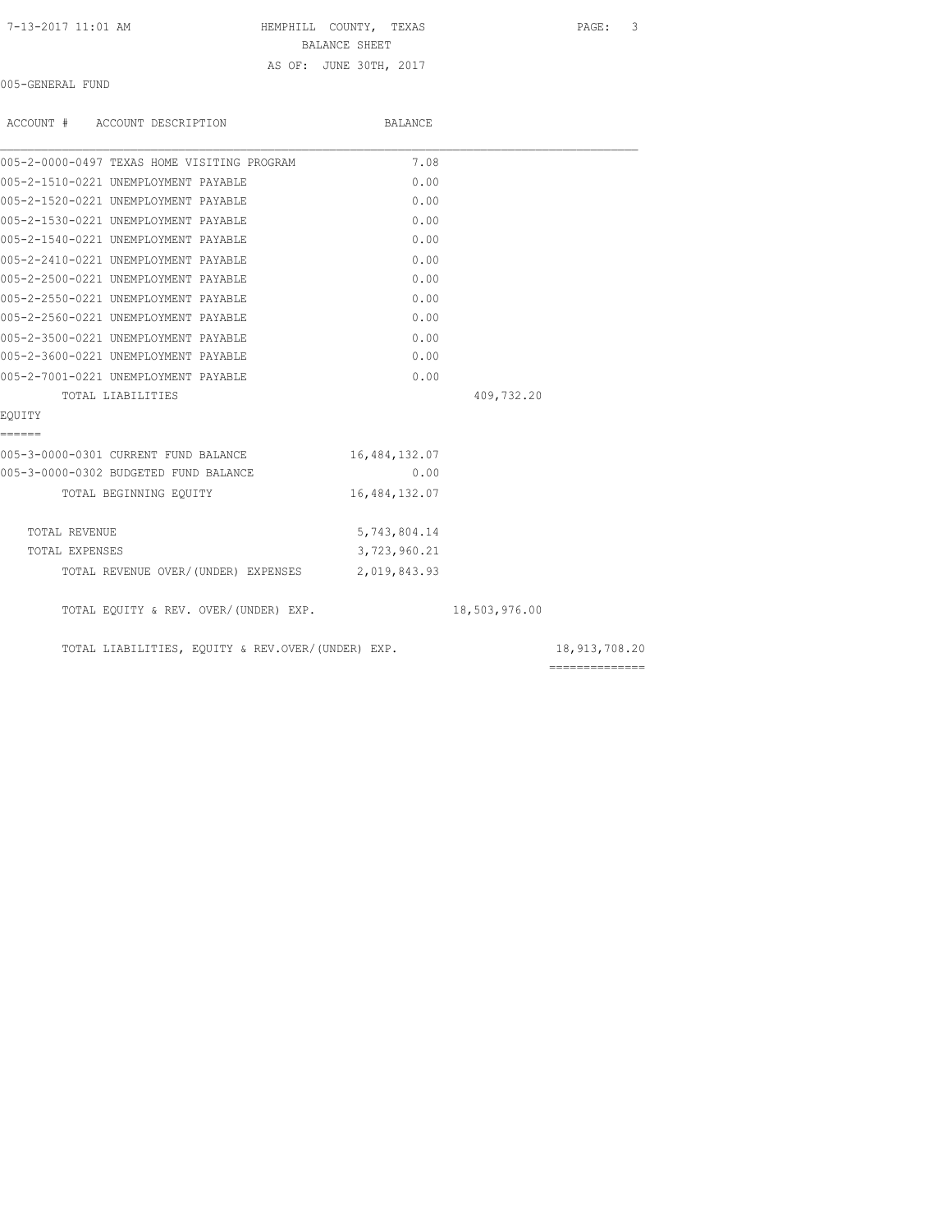| 7-13-2017 11:01 AM |  |  |
|--------------------|--|--|
|--------------------|--|--|

HEMPHILL COUNTY, TEXAS PAGE: 3 BALANCE SHEET AS OF: JUNE 30TH, 2017

005-GENERAL FUND

| ACCOUNT # ACCOUNT DESCRIPTION                     | BALANCE       |               |                |
|---------------------------------------------------|---------------|---------------|----------------|
| 005-2-0000-0497 TEXAS HOME VISITING PROGRAM       | 7.08          |               |                |
| 005-2-1510-0221 UNEMPLOYMENT PAYABLE              | 0.00          |               |                |
| 005-2-1520-0221 UNEMPLOYMENT PAYABLE              | 0.00          |               |                |
| 005-2-1530-0221 UNEMPLOYMENT PAYABLE              | 0.00          |               |                |
| 005-2-1540-0221 UNEMPLOYMENT PAYABLE              | 0.00          |               |                |
| 005-2-2410-0221 UNEMPLOYMENT PAYABLE              | 0.00          |               |                |
| 005-2-2500-0221 UNEMPLOYMENT PAYABLE              | 0.00          |               |                |
| 005-2-2550-0221 UNEMPLOYMENT PAYABLE              | 0.00          |               |                |
| 005-2-2560-0221 UNEMPLOYMENT PAYABLE              | 0.00          |               |                |
| 005-2-3500-0221 UNEMPLOYMENT PAYABLE              | 0.00          |               |                |
| 005-2-3600-0221 UNEMPLOYMENT PAYABLE              | 0.00          |               |                |
| 005-2-7001-0221 UNEMPLOYMENT PAYABLE              | 0.00          |               |                |
| TOTAL LIABILITIES                                 |               | 409,732.20    |                |
| EOUITY                                            |               |               |                |
| ======                                            |               |               |                |
| 005-3-0000-0301 CURRENT FUND BALANCE              | 16,484,132.07 |               |                |
| 005-3-0000-0302 BUDGETED FUND BALANCE             | 0.00          |               |                |
| TOTAL BEGINNING EQUITY                            | 16,484,132.07 |               |                |
| TOTAL REVENUE                                     | 5,743,804.14  |               |                |
| TOTAL EXPENSES                                    | 3,723,960.21  |               |                |
| TOTAL REVENUE OVER/(UNDER) EXPENSES 2,019,843.93  |               |               |                |
| TOTAL EQUITY & REV. OVER/(UNDER) EXP.             |               | 18,503,976.00 |                |
| TOTAL LIABILITIES, EQUITY & REV.OVER/(UNDER) EXP. |               |               | 18,913,708.20  |
|                                                   |               |               | ============== |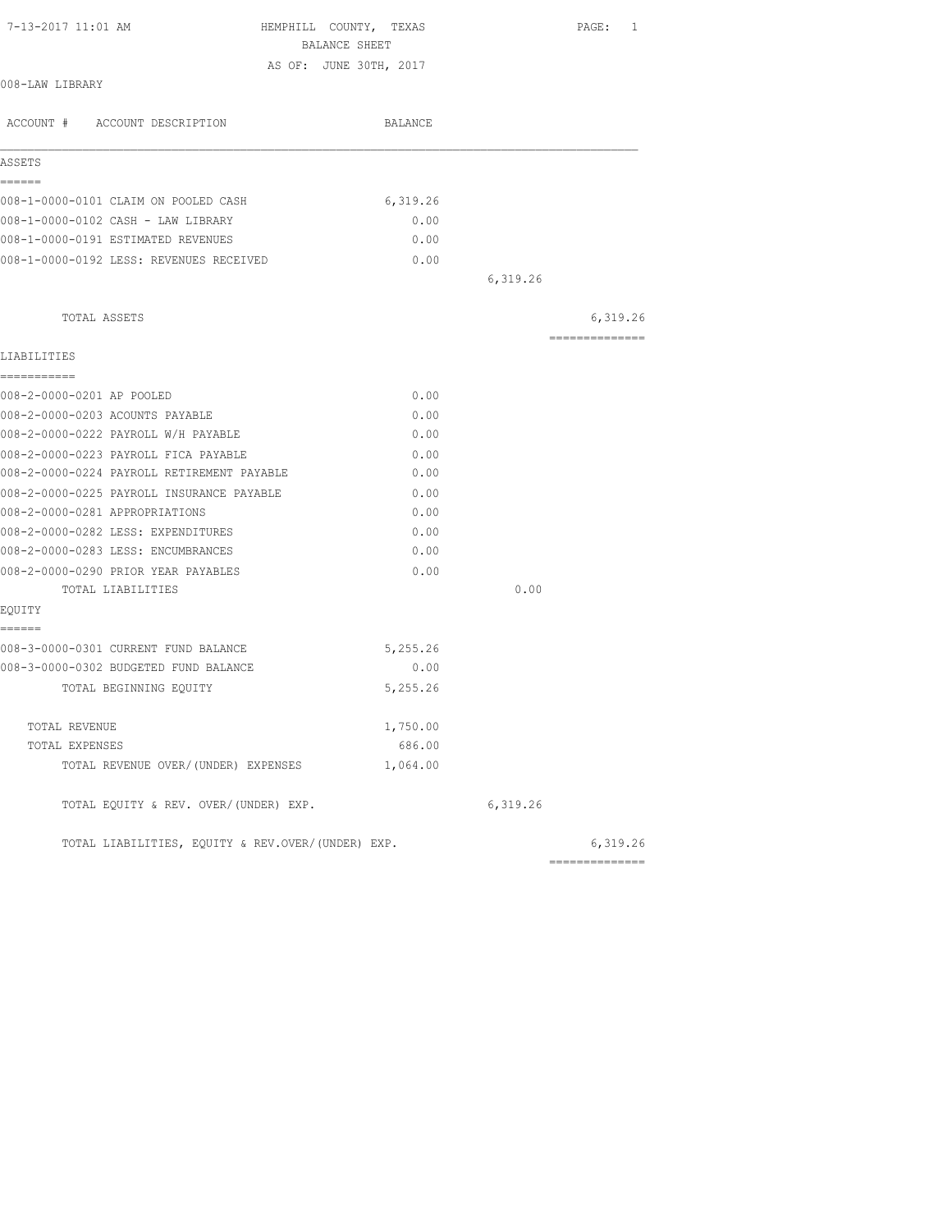| 7-13-2017 11:01 AM                                                          | HEMPHILL COUNTY, TEXAS<br>BALANCE SHEET |          | PAGE: 1        |
|-----------------------------------------------------------------------------|-----------------------------------------|----------|----------------|
|                                                                             |                                         |          |                |
| 008-LAW LIBRARY                                                             | AS OF: JUNE 30TH, 2017                  |          |                |
| ACCOUNT # ACCOUNT DESCRIPTION                                               | BALANCE                                 |          |                |
| ASSETS                                                                      |                                         |          |                |
| ======<br>008-1-0000-0101 CLAIM ON POOLED CASH                              | 6,319.26                                |          |                |
| 008-1-0000-0102 CASH - LAW LIBRARY                                          | 0.00                                    |          |                |
| 008-1-0000-0191 ESTIMATED REVENUES                                          | 0.00                                    |          |                |
| 008-1-0000-0192 LESS: REVENUES RECEIVED                                     | 0.00                                    |          |                |
|                                                                             |                                         | 6,319.26 |                |
| TOTAL ASSETS                                                                |                                         |          | 6,319.26       |
| LIABILITIES                                                                 |                                         |          | -------------- |
| ===========                                                                 |                                         |          |                |
| 008-2-0000-0201 AP POOLED                                                   | 0.00                                    |          |                |
| 008-2-0000-0203 ACOUNTS PAYABLE                                             | 0.00                                    |          |                |
| 008-2-0000-0222 PAYROLL W/H PAYABLE                                         | 0.00                                    |          |                |
| 008-2-0000-0223 PAYROLL FICA PAYABLE                                        | 0.00                                    |          |                |
| 008-2-0000-0224 PAYROLL RETIREMENT PAYABLE                                  | 0.00                                    |          |                |
| 008-2-0000-0225 PAYROLL INSURANCE PAYABLE<br>008-2-0000-0281 APPROPRIATIONS | 0.00<br>0.00                            |          |                |
|                                                                             |                                         |          |                |
| 008-2-0000-0282 LESS: EXPENDITURES<br>008-2-0000-0283 LESS: ENCUMBRANCES    | 0.00<br>0.00                            |          |                |
| 008-2-0000-0290 PRIOR YEAR PAYABLES                                         | 0.00                                    |          |                |
| TOTAL LIABILITIES                                                           |                                         | 0.00     |                |
| EOUITY                                                                      |                                         |          |                |
| ======<br>008-3-0000-0301 CURRENT FUND BALANCE                              | 5,255.26                                |          |                |
| 008-3-0000-0302 BUDGETED FUND BALANCE                                       | 0.00                                    |          |                |
| TOTAL BEGINNING EOUITY                                                      | 5,255.26                                |          |                |
| TOTAL REVENUE                                                               | 1,750.00                                |          |                |
| TOTAL EXPENSES                                                              | 686.00                                  |          |                |
| TOTAL REVENUE OVER/(UNDER) EXPENSES                                         | 1,064.00                                |          |                |
| TOTAL EQUITY & REV. OVER/(UNDER) EXP.                                       |                                         | 6,319.26 |                |
| TOTAL LIABILITIES, EQUITY & REV.OVER/(UNDER) EXP.                           |                                         |          | 6,319.26       |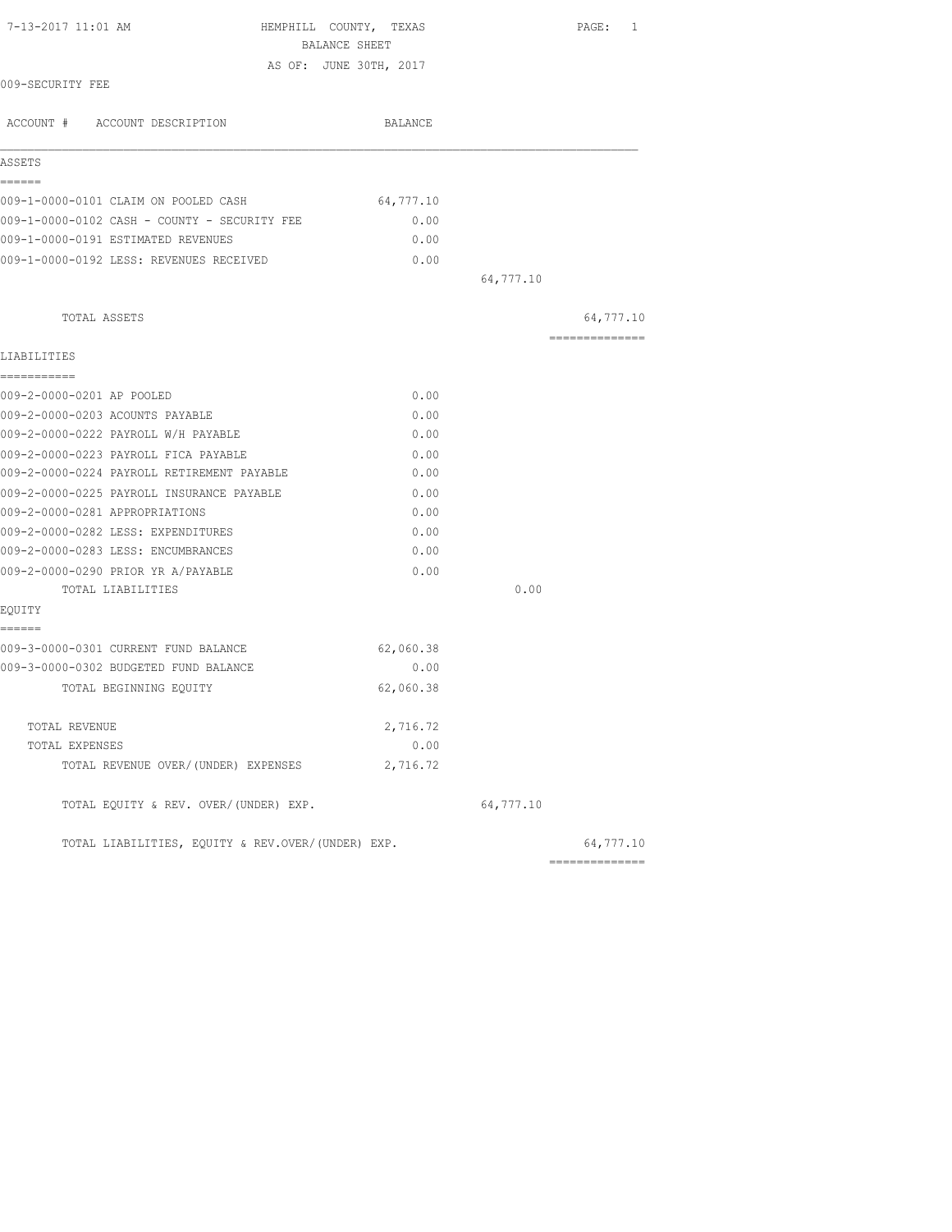| 7-13-2017 11:01 AM<br>HEMPHILL COUNTY, TEXAS<br>BALANCE SHEET |           |           | PAGE: 1                      |
|---------------------------------------------------------------|-----------|-----------|------------------------------|
| AS OF: JUNE 30TH, 2017                                        |           |           |                              |
| 009-SECURITY FEE                                              |           |           |                              |
| ACCOUNT # ACCOUNT DESCRIPTION                                 | BALANCE   |           |                              |
| ASSETS                                                        |           |           |                              |
| ======<br>009-1-0000-0101 CLAIM ON POOLED CASH                | 64,777.10 |           |                              |
| 009-1-0000-0102 CASH - COUNTY - SECURITY FEE                  | 0.00      |           |                              |
| 009-1-0000-0191 ESTIMATED REVENUES                            | 0.00      |           |                              |
| 009-1-0000-0192 LESS: REVENUES RECEIVED                       | 0.00      |           |                              |
|                                                               |           | 64,777.10 |                              |
| TOTAL ASSETS                                                  |           |           | 64,777.10                    |
| LIABILITIES                                                   |           |           | ===============              |
| -----------                                                   |           |           |                              |
| 009-2-0000-0201 AP POOLED                                     | 0.00      |           |                              |
| 009-2-0000-0203 ACOUNTS PAYABLE                               | 0.00      |           |                              |
| 009-2-0000-0222 PAYROLL W/H PAYABLE                           | 0.00      |           |                              |
| 009-2-0000-0223 PAYROLL FICA PAYABLE                          | 0.00      |           |                              |
| 009-2-0000-0224 PAYROLL RETIREMENT PAYABLE                    | 0.00      |           |                              |
| 009-2-0000-0225 PAYROLL INSURANCE PAYABLE                     | 0.00      |           |                              |
| 009-2-0000-0281 APPROPRIATIONS                                | 0.00      |           |                              |
| 009-2-0000-0282 LESS: EXPENDITURES                            | 0.00      |           |                              |
| 009-2-0000-0283 LESS: ENCUMBRANCES                            | 0.00      |           |                              |
| 009-2-0000-0290 PRIOR YR A/PAYABLE                            | 0.00      |           |                              |
| TOTAL LIABILITIES                                             |           | 0.00      |                              |
| EQUITY<br>======                                              |           |           |                              |
| 009-3-0000-0301 CURRENT FUND BALANCE                          | 62,060.38 |           |                              |
| 009-3-0000-0302 BUDGETED FUND BALANCE                         | 0.00      |           |                              |
| TOTAL BEGINNING EOUITY                                        | 62,060.38 |           |                              |
| TOTAL REVENUE                                                 | 2,716.72  |           |                              |
| TOTAL EXPENSES                                                | 0.00      |           |                              |
| TOTAL REVENUE OVER/(UNDER) EXPENSES                           | 2,716.72  |           |                              |
| TOTAL EQUITY & REV. OVER/(UNDER) EXP.                         |           | 64,777.10 |                              |
| TOTAL LIABILITIES, EQUITY & REV.OVER/(UNDER) EXP.             |           |           | 64,777.10<br>--------------- |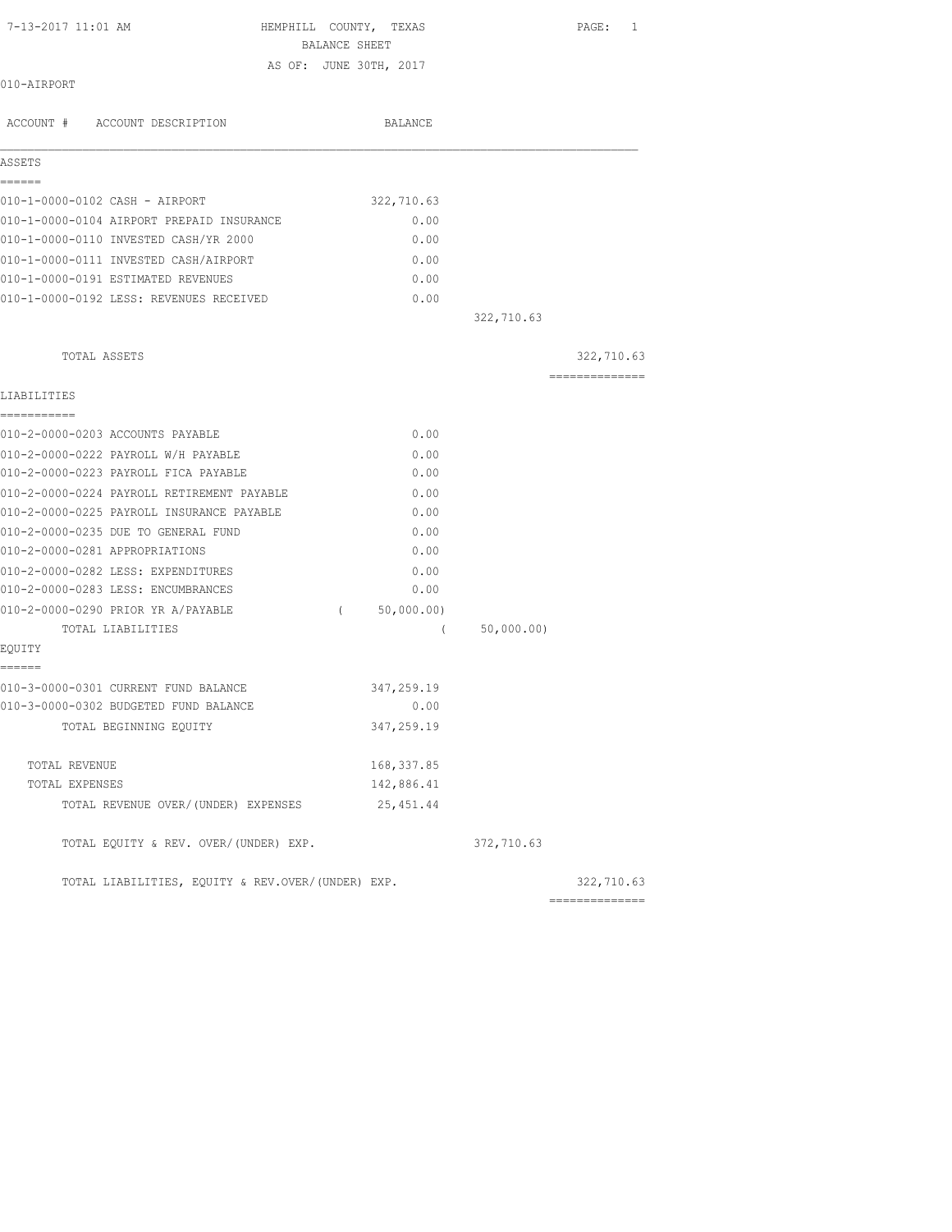| 7-13-2017 11:01 AM                                | HEMPHILL COUNTY, TEXAS<br>PAGE:<br>$\mathbf{1}$ |
|---------------------------------------------------|-------------------------------------------------|
|                                                   | BALANCE SHEET                                   |
|                                                   | AS OF: JUNE 30TH, 2017                          |
| 010-AIRPORT                                       |                                                 |
| ACCOUNT # ACCOUNT DESCRIPTION                     | BALANCE                                         |
|                                                   |                                                 |
| ASSETS                                            |                                                 |
| ======<br>010-1-0000-0102 CASH - AIRPORT          |                                                 |
| 010-1-0000-0104 AIRPORT PREPAID INSURANCE         | 322,710.63<br>0.00                              |
| 010-1-0000-0110 INVESTED CASH/YR 2000             | 0.00                                            |
|                                                   |                                                 |
| 010-1-0000-0111 INVESTED CASH/AIRPORT             | 0.00<br>0.00                                    |
| 010-1-0000-0191 ESTIMATED REVENUES                |                                                 |
| 010-1-0000-0192 LESS: REVENUES RECEIVED           | 0.00                                            |
|                                                   | 322,710.63                                      |
| TOTAL ASSETS                                      | 322,710.63                                      |
| LIABILITIES                                       | .                                               |
| ===========                                       |                                                 |
| 010-2-0000-0203 ACCOUNTS PAYABLE                  | 0.00                                            |
| 010-2-0000-0222 PAYROLL W/H PAYABLE               | 0.00                                            |
| 010-2-0000-0223 PAYROLL FICA PAYABLE              | 0.00                                            |
| 010-2-0000-0224 PAYROLL RETIREMENT PAYABLE        | 0.00                                            |
| 010-2-0000-0225 PAYROLL INSURANCE PAYABLE         | 0.00                                            |
| 010-2-0000-0235 DUE TO GENERAL FUND               | 0.00                                            |
| 010-2-0000-0281 APPROPRIATIONS                    | 0.00                                            |
| 010-2-0000-0282 LESS: EXPENDITURES                | 0.00                                            |
| 010-2-0000-0283 LESS: ENCUMBRANCES                | 0.00                                            |
| 010-2-0000-0290 PRIOR YR A/PAYABLE                | 50,000.00)<br>$\sqrt{2}$                        |
| TOTAL LIABILITIES                                 | 50,000.00)<br>$\left($                          |
| EQUITY                                            |                                                 |
| ======<br>010-3-0000-0301 CURRENT FUND BALANCE    | 347,259.19                                      |
| 010-3-0000-0302 BUDGETED FUND BALANCE             | 0.00                                            |
| TOTAL BEGINNING EQUITY                            | 347,259.19                                      |
|                                                   |                                                 |
| TOTAL REVENUE                                     | 168, 337.85                                     |
| TOTAL EXPENSES                                    | 142,886.41                                      |
| TOTAL REVENUE OVER/(UNDER) EXPENSES               | 25, 451.44                                      |
| TOTAL EQUITY & REV. OVER/(UNDER) EXP.             | 372,710.63                                      |
| TOTAL LIABILITIES, EQUITY & REV.OVER/(UNDER) EXP. | 322,710.63                                      |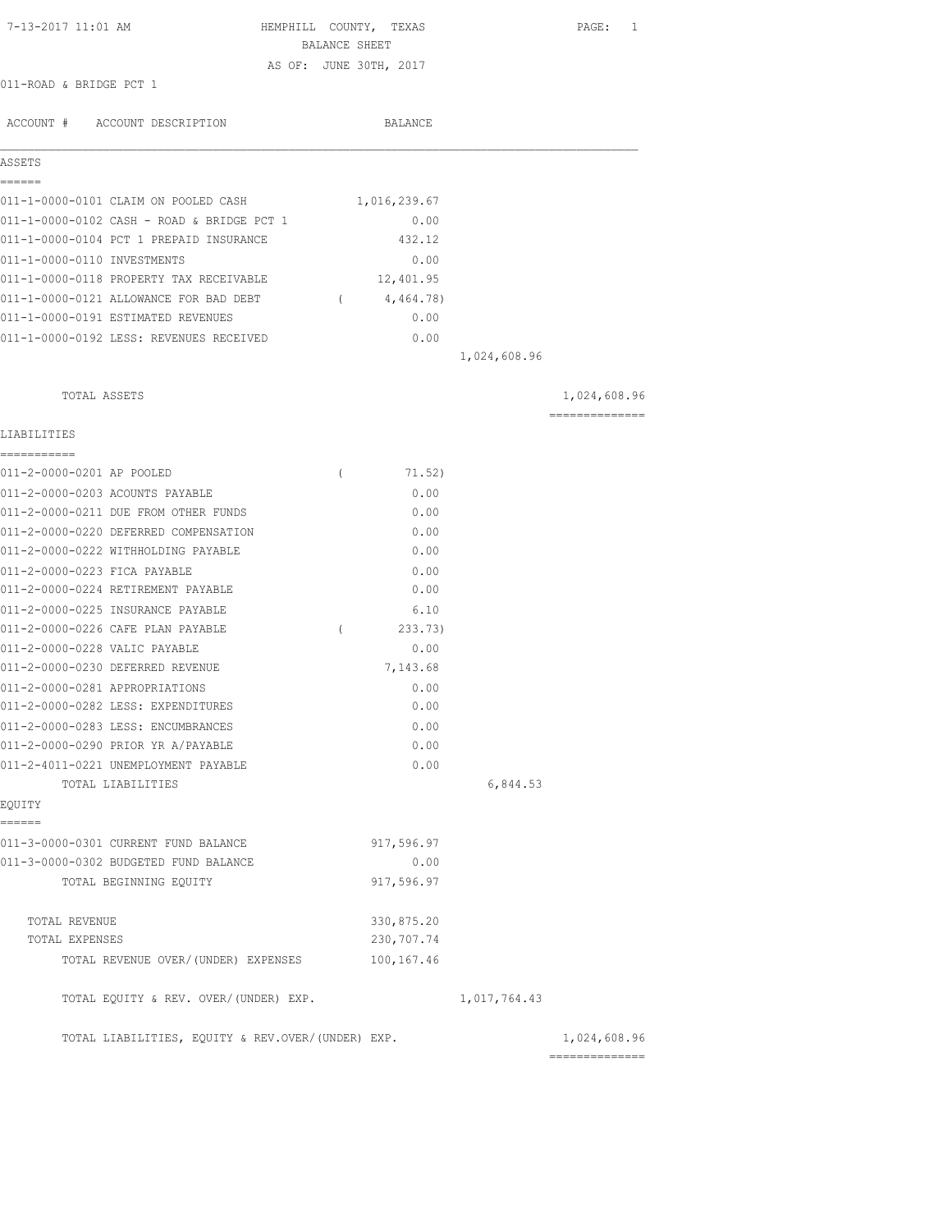| 7-13-2017 11:01 AM                                | BALANCE SHEET | HEMPHILL COUNTY, TEXAS |              | PAGE: 1                        |
|---------------------------------------------------|---------------|------------------------|--------------|--------------------------------|
|                                                   |               | AS OF: JUNE 30TH, 2017 |              |                                |
| 011-ROAD & BRIDGE PCT 1                           |               |                        |              |                                |
| ACCOUNT # ACCOUNT DESCRIPTION                     |               | BALANCE                |              |                                |
| ASSETS                                            |               |                        |              |                                |
| ------<br>011-1-0000-0101 CLAIM ON POOLED CASH    |               | 1,016,239.67           |              |                                |
| 011-1-0000-0102 CASH - ROAD & BRIDGE PCT 1        |               | 0.00                   |              |                                |
| 011-1-0000-0104 PCT 1 PREPAID INSURANCE           |               | 432.12                 |              |                                |
| 011-1-0000-0110 INVESTMENTS                       |               | 0.00                   |              |                                |
| 011-1-0000-0118 PROPERTY TAX RECEIVABLE           |               | 12,401.95              |              |                                |
| 011-1-0000-0121 ALLOWANCE FOR BAD DEBT            | $\sqrt{2}$    | 4,464.78)              |              |                                |
| 011-1-0000-0191 ESTIMATED REVENUES                |               | 0.00                   |              |                                |
| 011-1-0000-0192 LESS: REVENUES RECEIVED           |               | 0.00                   |              |                                |
|                                                   |               |                        | 1,024,608.96 |                                |
| TOTAL ASSETS                                      |               |                        |              | 1,024,608.96                   |
| LIABILITIES                                       |               |                        |              | ==============                 |
| ===========<br>011-2-0000-0201 AP POOLED          |               |                        |              |                                |
| 011-2-0000-0203 ACOUNTS PAYABLE                   | $\left($      | 71.52)                 |              |                                |
| 011-2-0000-0211 DUE FROM OTHER FUNDS              |               | 0.00<br>0.00           |              |                                |
| 011-2-0000-0220 DEFERRED COMPENSATION             |               | 0.00                   |              |                                |
| 011-2-0000-0222 WITHHOLDING PAYABLE               |               | 0.00                   |              |                                |
| 011-2-0000-0223 FICA PAYABLE                      |               | 0.00                   |              |                                |
| 011-2-0000-0224 RETIREMENT PAYABLE                |               | 0.00                   |              |                                |
| 011-2-0000-0225 INSURANCE PAYABLE                 |               | 6.10                   |              |                                |
| 011-2-0000-0226 CAFE PLAN PAYABLE                 | $\left($      | 233.73)                |              |                                |
| 011-2-0000-0228 VALIC PAYABLE                     |               | 0.00                   |              |                                |
| 011-2-0000-0230 DEFERRED REVENUE                  |               | 7,143.68               |              |                                |
| 011-2-0000-0281 APPROPRIATIONS                    |               | 0.00                   |              |                                |
| 011-2-0000-0282 LESS: EXPENDITURES                |               | 0.00                   |              |                                |
| 011-2-0000-0283 LESS: ENCUMBRANCES                |               | 0.00                   |              |                                |
| 011-2-0000-0290 PRIOR YR A/PAYABLE                |               | 0.00                   |              |                                |
| 011-2-4011-0221 UNEMPLOYMENT PAYABLE              |               | 0.00                   |              |                                |
| TOTAL LIABILITIES                                 |               |                        | 6,844.53     |                                |
| EQUITY<br>------                                  |               |                        |              |                                |
| 011-3-0000-0301 CURRENT FUND BALANCE              |               | 917,596.97             |              |                                |
| 011-3-0000-0302 BUDGETED FUND BALANCE             |               | 0.00                   |              |                                |
| TOTAL BEGINNING EQUITY                            |               | 917,596.97             |              |                                |
| TOTAL REVENUE                                     |               | 330,875.20             |              |                                |
| TOTAL EXPENSES                                    |               | 230,707.74             |              |                                |
| TOTAL REVENUE OVER/(UNDER) EXPENSES               |               | 100, 167.46            |              |                                |
| TOTAL EQUITY & REV. OVER/(UNDER) EXP.             |               |                        | 1,017,764.43 |                                |
| TOTAL LIABILITIES, EQUITY & REV.OVER/(UNDER) EXP. |               |                        |              | 1,024,608.96<br>============== |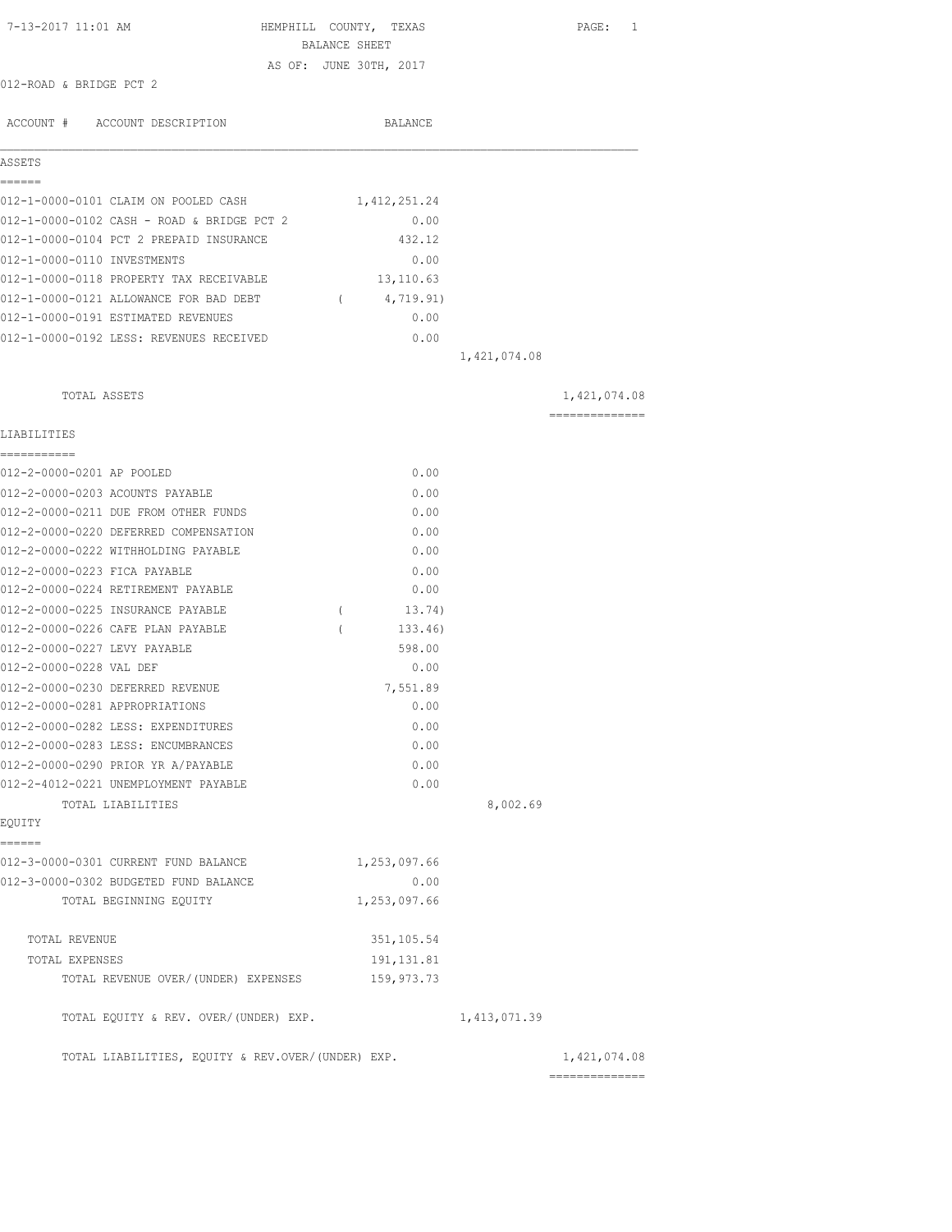| 7-13-2017 11:01 AM                                                           | HEMPHILL COUNTY, TEXAS<br>BALANCE SHEET<br>AS OF: JUNE 30TH, 2017 | PAGE: 1                         |
|------------------------------------------------------------------------------|-------------------------------------------------------------------|---------------------------------|
| 012-ROAD & BRIDGE PCT 2                                                      |                                                                   |                                 |
| ACCOUNT # ACCOUNT DESCRIPTION                                                | BALANCE                                                           |                                 |
| ASSETS                                                                       |                                                                   |                                 |
| ======                                                                       |                                                                   |                                 |
| 012-1-0000-0101 CLAIM ON POOLED CASH                                         | 1,412,251.24                                                      |                                 |
| 012-1-0000-0102 CASH - ROAD & BRIDGE PCT 2                                   | 0.00                                                              |                                 |
| 012-1-0000-0104 PCT 2 PREPAID INSURANCE<br>012-1-0000-0110 INVESTMENTS       | 432.12                                                            |                                 |
| 012-1-0000-0118 PROPERTY TAX RECEIVABLE                                      | 0.00<br>13,110.63                                                 |                                 |
| 012-1-0000-0121 ALLOWANCE FOR BAD DEBT                                       |                                                                   |                                 |
| 012-1-0000-0191 ESTIMATED REVENUES                                           | (4, 719.91)<br>0.00                                               |                                 |
| 012-1-0000-0192 LESS: REVENUES RECEIVED                                      |                                                                   |                                 |
|                                                                              | 0.00<br>1,421,074.08                                              |                                 |
|                                                                              |                                                                   |                                 |
| TOTAL ASSETS                                                                 |                                                                   | 1,421,074.08<br>--------------- |
| LIABILITIES                                                                  |                                                                   |                                 |
| -----------                                                                  |                                                                   |                                 |
| 012-2-0000-0201 AP POOLED                                                    | 0.00                                                              |                                 |
| 012-2-0000-0203 ACOUNTS PAYABLE<br>012-2-0000-0211 DUE FROM OTHER FUNDS      | 0.00<br>0.00                                                      |                                 |
|                                                                              |                                                                   |                                 |
| 012-2-0000-0220 DEFERRED COMPENSATION<br>012-2-0000-0222 WITHHOLDING PAYABLE | 0.00<br>0.00                                                      |                                 |
|                                                                              |                                                                   |                                 |
| 012-2-0000-0223 FICA PAYABLE<br>012-2-0000-0224 RETIREMENT PAYABLE           | 0.00<br>0.00                                                      |                                 |
| 012-2-0000-0225 INSURANCE PAYABLE                                            | $\left($<br>13.74)                                                |                                 |
| 012-2-0000-0226 CAFE PLAN PAYABLE                                            | $\left($<br>133.46)                                               |                                 |
| 012-2-0000-0227 LEVY PAYABLE                                                 | 598.00                                                            |                                 |
| 012-2-0000-0228 VAL DEF                                                      | 0.00                                                              |                                 |
| 012-2-0000-0230 DEFERRED REVENUE                                             | 7,551.89                                                          |                                 |
| 012-2-0000-0281 APPROPRIATIONS                                               | 0.00                                                              |                                 |
| 012-2-0000-0282 LESS: EXPENDITURES                                           | 0.00                                                              |                                 |
| 012-2-0000-0283 LESS: ENCUMBRANCES                                           | 0.00                                                              |                                 |
| 012-2-0000-0290 PRIOR YR A/PAYABLE                                           | 0.00                                                              |                                 |
| 012-2-4012-0221 UNEMPLOYMENT PAYABLE                                         | 0.00                                                              |                                 |
| TOTAL LIABILITIES                                                            | 8,002.69                                                          |                                 |
| EQUITY                                                                       |                                                                   |                                 |
| ======<br>012-3-0000-0301 CURRENT FUND BALANCE                               | 1,253,097.66                                                      |                                 |
| 012-3-0000-0302 BUDGETED FUND BALANCE                                        |                                                                   |                                 |
| TOTAL BEGINNING EQUITY                                                       | 0.00<br>1,253,097.66                                              |                                 |
|                                                                              |                                                                   |                                 |
| TOTAL REVENUE                                                                | 351, 105.54                                                       |                                 |
| TOTAL EXPENSES                                                               | 191, 131.81                                                       |                                 |
| TOTAL REVENUE OVER/(UNDER) EXPENSES                                          | 159,973.73                                                        |                                 |
| TOTAL EQUITY & REV. OVER/(UNDER) EXP.                                        | 1, 413, 071.39                                                    |                                 |
| TOTAL LIABILITIES, EQUITY & REV.OVER/(UNDER) EXP.                            |                                                                   | 1,421,074.08<br>==============  |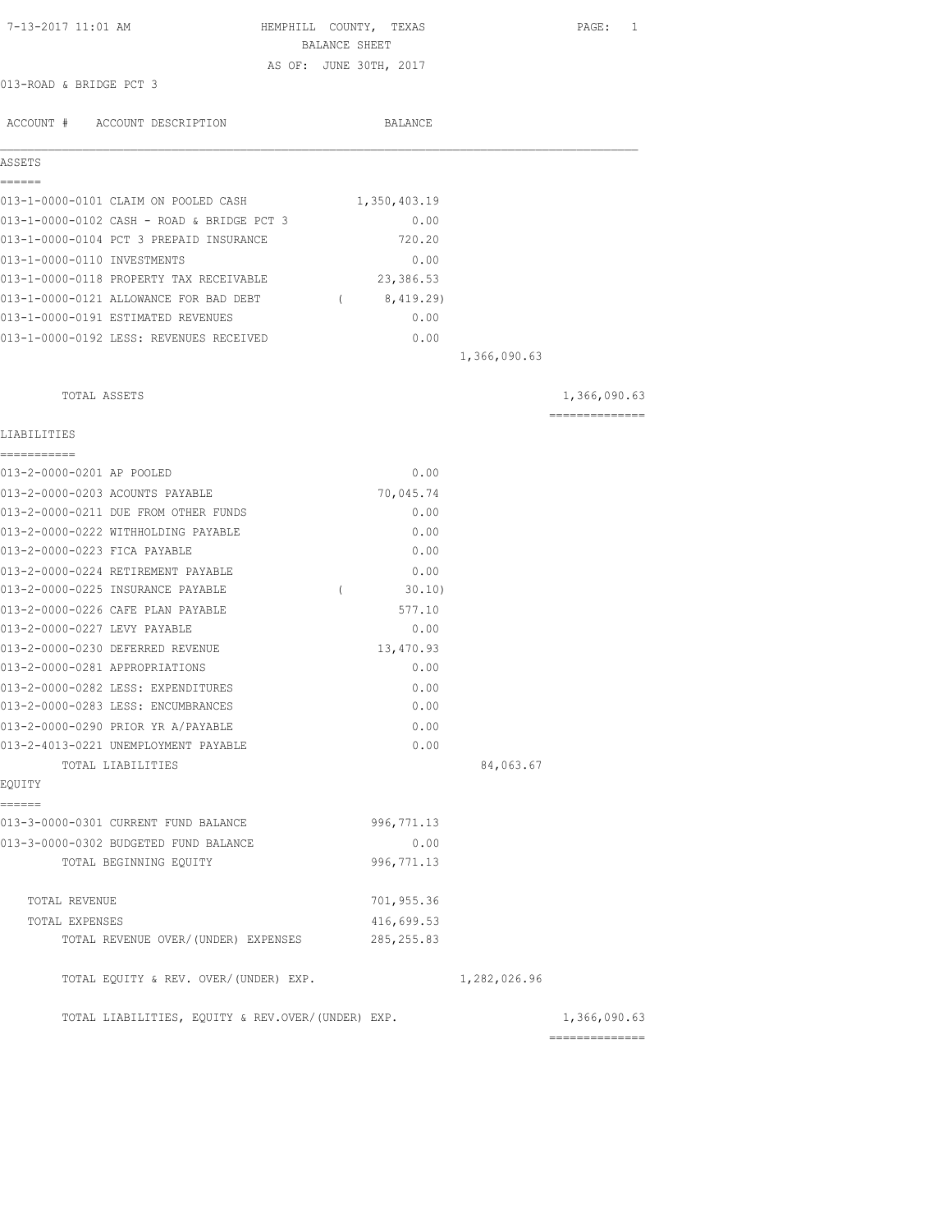| 7-13-2017 11:01 AM                                | HEMPHILL COUNTY, TEXAS |              | PAGE: 1        |
|---------------------------------------------------|------------------------|--------------|----------------|
|                                                   | BALANCE SHEET          |              |                |
| 013-ROAD & BRIDGE PCT 3                           | AS OF: JUNE 30TH, 2017 |              |                |
|                                                   |                        |              |                |
| ACCOUNT # ACCOUNT DESCRIPTION                     | BALANCE                |              |                |
| ASSETS                                            |                        |              |                |
| ======<br>013-1-0000-0101 CLAIM ON POOLED CASH    | 1,350,403.19           |              |                |
| 013-1-0000-0102 CASH - ROAD & BRIDGE PCT 3        | 0.00                   |              |                |
| 013-1-0000-0104 PCT 3 PREPAID INSURANCE           | 720.20                 |              |                |
| 013-1-0000-0110 INVESTMENTS                       | 0.00                   |              |                |
| 013-1-0000-0118 PROPERTY TAX RECEIVABLE           | 23,386.53              |              |                |
| 013-1-0000-0121 ALLOWANCE FOR BAD DEBT            | (8, 419.29)            |              |                |
| 013-1-0000-0191 ESTIMATED REVENUES                | 0.00                   |              |                |
| 013-1-0000-0192 LESS: REVENUES RECEIVED           | 0.00                   |              |                |
|                                                   |                        | 1,366,090.63 |                |
| TOTAL ASSETS                                      |                        |              | 1,366,090.63   |
| LIABILITIES                                       |                        |              | ============== |
| ===========                                       |                        |              |                |
| 013-2-0000-0201 AP POOLED                         | 0.00                   |              |                |
| 013-2-0000-0203 ACOUNTS PAYABLE                   | 70,045.74              |              |                |
| 013-2-0000-0211 DUE FROM OTHER FUNDS              | 0.00                   |              |                |
| 013-2-0000-0222 WITHHOLDING PAYABLE               | 0.00                   |              |                |
| 013-2-0000-0223 FICA PAYABLE                      | 0.00                   |              |                |
| 013-2-0000-0224 RETIREMENT PAYABLE                | 0.00                   |              |                |
| 013-2-0000-0225 INSURANCE PAYABLE                 | $\left($<br>30.10      |              |                |
| 013-2-0000-0226 CAFE PLAN PAYABLE                 | 577.10                 |              |                |
| 013-2-0000-0227 LEVY PAYABLE                      | 0.00                   |              |                |
| 013-2-0000-0230 DEFERRED REVENUE                  | 13,470.93              |              |                |
| 013-2-0000-0281 APPROPRIATIONS                    | 0.00                   |              |                |
| 013-2-0000-0282 LESS: EXPENDITURES                | 0.00                   |              |                |
| 013-2-0000-0283 LESS: ENCUMBRANCES                | 0.00                   |              |                |
| 013-2-0000-0290 PRIOR YR A/PAYABLE                | 0.00                   |              |                |
| 013-2-4013-0221 UNEMPLOYMENT PAYABLE              | 0.00                   |              |                |
| TOTAL LIABILITIES                                 |                        | 84,063.67    |                |
| EQUITY<br>======                                  |                        |              |                |
| 013-3-0000-0301 CURRENT FUND BALANCE              | 996, 771.13            |              |                |
| 013-3-0000-0302 BUDGETED FUND BALANCE             | 0.00                   |              |                |
| TOTAL BEGINNING EQUITY                            | 996, 771.13            |              |                |
| TOTAL REVENUE                                     | 701,955.36             |              |                |
| TOTAL EXPENSES                                    | 416,699.53             |              |                |
| TOTAL REVENUE OVER/(UNDER) EXPENSES               | 285, 255.83            |              |                |
| TOTAL EQUITY & REV. OVER/(UNDER) EXP.             |                        | 1,282,026.96 |                |
| TOTAL LIABILITIES, EQUITY & REV.OVER/(UNDER) EXP. |                        |              | 1,366,090.63   |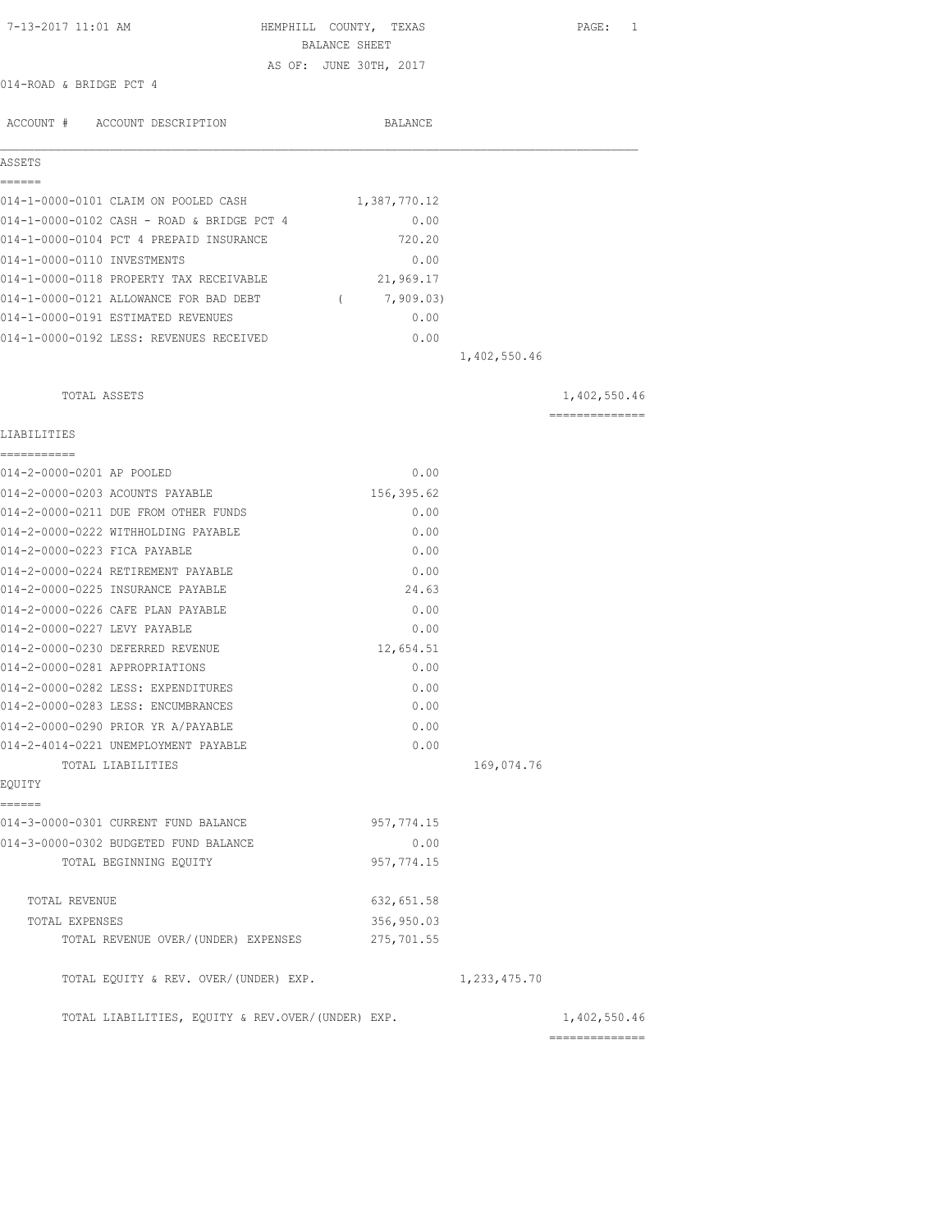| 7-13-2017 11:01 AM                                | HEMPHILL COUNTY, TEXAS                  |              | PAGE: 1         |
|---------------------------------------------------|-----------------------------------------|--------------|-----------------|
|                                                   | BALANCE SHEET<br>AS OF: JUNE 30TH, 2017 |              |                 |
| 014-ROAD & BRIDGE PCT 4                           |                                         |              |                 |
| ACCOUNT # ACCOUNT DESCRIPTION                     | BALANCE                                 |              |                 |
| ASSETS                                            |                                         |              |                 |
| ======<br>014-1-0000-0101 CLAIM ON POOLED CASH    | 1,387,770.12                            |              |                 |
| 014-1-0000-0102 CASH - ROAD & BRIDGE PCT 4        | 0.00                                    |              |                 |
| 014-1-0000-0104 PCT 4 PREPAID INSURANCE           | 720.20                                  |              |                 |
| 014-1-0000-0110 INVESTMENTS                       | 0.00                                    |              |                 |
| 014-1-0000-0118 PROPERTY TAX RECEIVABLE           | 21,969.17                               |              |                 |
| 014-1-0000-0121 ALLOWANCE FOR BAD DEBT            | (7, 909.03)                             |              |                 |
| 014-1-0000-0191 ESTIMATED REVENUES                | 0.00                                    |              |                 |
| 014-1-0000-0192 LESS: REVENUES RECEIVED           | 0.00                                    |              |                 |
|                                                   |                                         | 1,402,550.46 |                 |
| TOTAL ASSETS                                      |                                         |              | 1,402,550.46    |
|                                                   |                                         |              | --------------- |
| LIABILITIES<br>===========                        |                                         |              |                 |
| 014-2-0000-0201 AP POOLED                         | 0.00                                    |              |                 |
| 014-2-0000-0203 ACOUNTS PAYABLE                   | 156,395.62                              |              |                 |
| 014-2-0000-0211 DUE FROM OTHER FUNDS              | 0.00                                    |              |                 |
| 014-2-0000-0222 WITHHOLDING PAYABLE               | 0.00                                    |              |                 |
| 014-2-0000-0223 FICA PAYABLE                      | 0.00                                    |              |                 |
| 014-2-0000-0224 RETIREMENT PAYABLE                | 0.00                                    |              |                 |
| 014-2-0000-0225 INSURANCE PAYABLE                 | 24.63                                   |              |                 |
| 014-2-0000-0226 CAFE PLAN PAYABLE                 | 0.00                                    |              |                 |
| 014-2-0000-0227 LEVY PAYABLE                      | 0.00                                    |              |                 |
| 014-2-0000-0230 DEFERRED REVENUE                  | 12,654.51                               |              |                 |
| 014-2-0000-0281 APPROPRIATIONS                    | 0.00                                    |              |                 |
| 014-2-0000-0282 LESS: EXPENDITURES                | 0.00                                    |              |                 |
| 014-2-0000-0283 LESS: ENCUMBRANCES                | 0.00                                    |              |                 |
| 014-2-0000-0290 PRIOR YR A/PAYABLE                | 0.00                                    |              |                 |
| 014-2-4014-0221 UNEMPLOYMENT PAYABLE              | 0.00                                    |              |                 |
| TOTAL LIABILITIES                                 |                                         | 169,074.76   |                 |
| EQUITY                                            |                                         |              |                 |
| ------<br>014-3-0000-0301 CURRENT FUND BALANCE    | 957, 774.15                             |              |                 |
| 014-3-0000-0302 BUDGETED FUND BALANCE             | 0.00                                    |              |                 |
| TOTAL BEGINNING EQUITY                            | 957, 774.15                             |              |                 |
| TOTAL REVENUE                                     | 632, 651.58                             |              |                 |
| TOTAL EXPENSES                                    | 356,950.03                              |              |                 |
| TOTAL REVENUE OVER/(UNDER) EXPENSES               | 275,701.55                              |              |                 |
| TOTAL EQUITY & REV. OVER/(UNDER) EXP.             |                                         | 1,233,475.70 |                 |
| TOTAL LIABILITIES, EQUITY & REV.OVER/(UNDER) EXP. |                                         |              | 1,402,550.46    |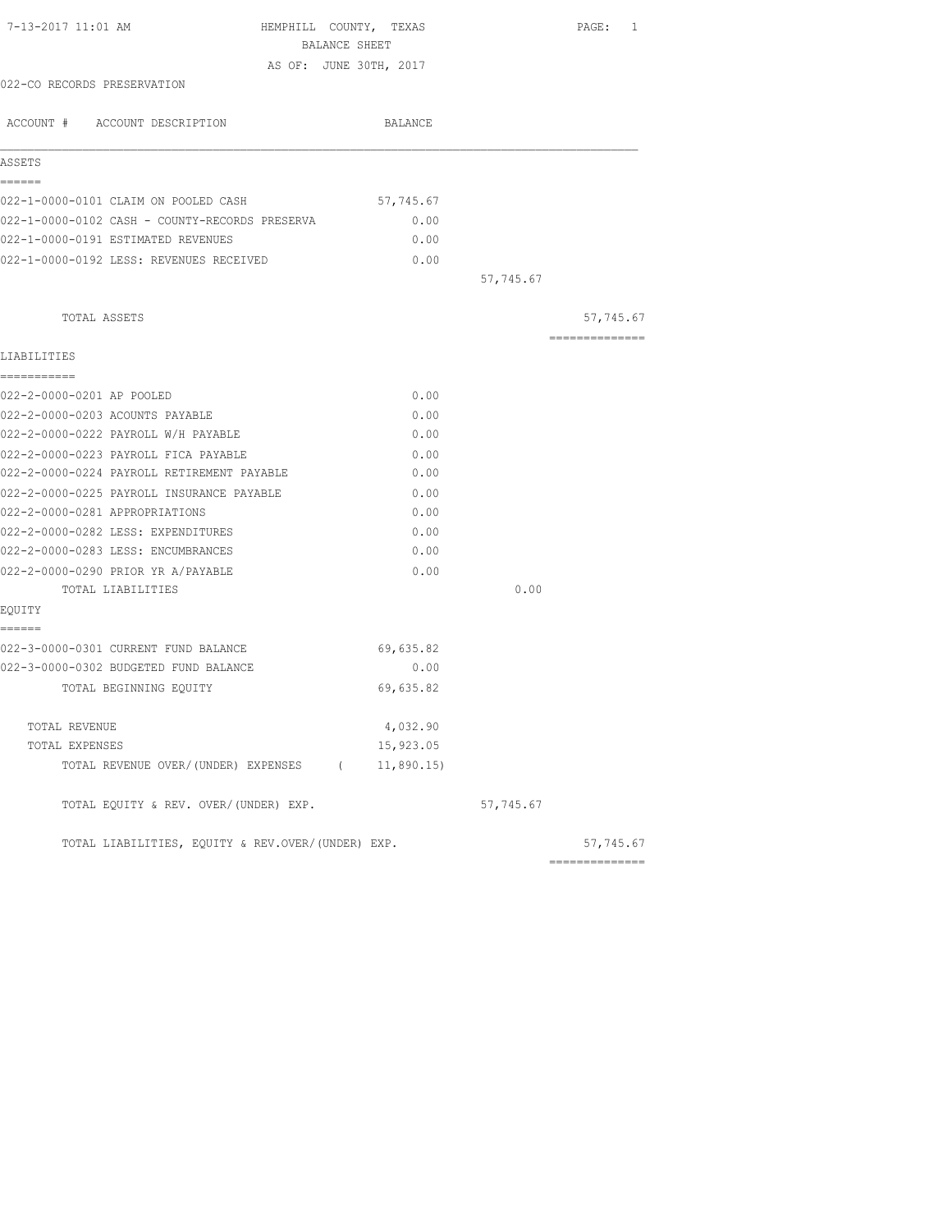| 7-13-2017 11:01 AM<br>HEMPHILL COUNTY, TEXAS          |           |           | PAGE: 1        |
|-------------------------------------------------------|-----------|-----------|----------------|
| BALANCE SHEET                                         |           |           |                |
| AS OF: JUNE 30TH, 2017<br>022-CO RECORDS PRESERVATION |           |           |                |
|                                                       |           |           |                |
| ACCOUNT # ACCOUNT DESCRIPTION                         | BALANCE   |           |                |
| ASSETS                                                |           |           |                |
| ------                                                |           |           |                |
| 022-1-0000-0101 CLAIM ON POOLED CASH                  | 57,745.67 |           |                |
| 022-1-0000-0102 CASH - COUNTY-RECORDS PRESERVA        | 0.00      |           |                |
| 022-1-0000-0191 ESTIMATED REVENUES                    | 0.00      |           |                |
| 022-1-0000-0192 LESS: REVENUES RECEIVED               | 0.00      |           |                |
|                                                       |           | 57,745.67 |                |
| TOTAL ASSETS                                          |           |           | 57,745.67      |
| LIABILITIES                                           |           |           | ============== |
| -----------                                           |           |           |                |
| 022-2-0000-0201 AP POOLED                             | 0.00      |           |                |
| 022-2-0000-0203 ACOUNTS PAYABLE                       | 0.00      |           |                |
| 022-2-0000-0222 PAYROLL W/H PAYABLE                   | 0.00      |           |                |
| 022-2-0000-0223 PAYROLL FICA PAYABLE                  | 0.00      |           |                |
| 022-2-0000-0224 PAYROLL RETIREMENT PAYABLE            | 0.00      |           |                |
| 022-2-0000-0225 PAYROLL INSURANCE PAYABLE             | 0.00      |           |                |
| 022-2-0000-0281 APPROPRIATIONS                        | 0.00      |           |                |
| 022-2-0000-0282 LESS: EXPENDITURES                    | 0.00      |           |                |
| 022-2-0000-0283 LESS: ENCUMBRANCES                    | 0.00      |           |                |
| 022-2-0000-0290 PRIOR YR A/PAYABLE                    | 0.00      |           |                |
| TOTAL LIABILITIES                                     |           | 0.00      |                |
| EQUITY<br>======                                      |           |           |                |
| 022-3-0000-0301 CURRENT FUND BALANCE                  | 69,635.82 |           |                |
| 022-3-0000-0302 BUDGETED FUND BALANCE                 | 0.00      |           |                |
| TOTAL BEGINNING EQUITY                                | 69,635.82 |           |                |
| TOTAL REVENUE                                         | 4,032.90  |           |                |
| TOTAL EXPENSES                                        | 15,923.05 |           |                |
| TOTAL REVENUE OVER/(UNDER) EXPENSES (                 | 11,890.15 |           |                |
| TOTAL EQUITY & REV. OVER/(UNDER) EXP.                 |           | 57,745.67 |                |
| TOTAL LIABILITIES, EQUITY & REV.OVER/(UNDER) EXP.     |           |           | 57,745.67      |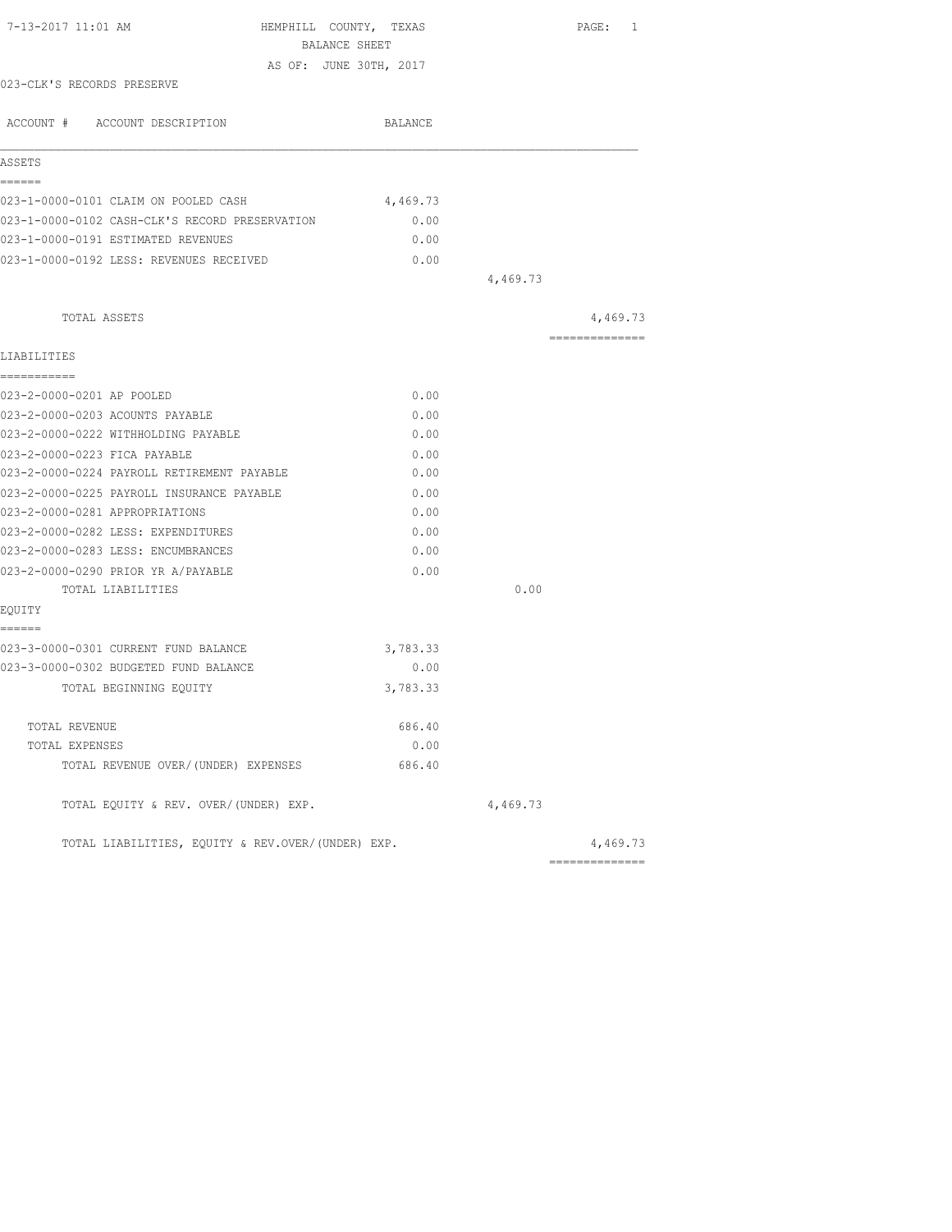| 7-13-2017 11:01 AM                                | HEMPHILL COUNTY, TEXAS<br>BALANCE SHEET |          | PAGE: 1         |
|---------------------------------------------------|-----------------------------------------|----------|-----------------|
|                                                   | AS OF: JUNE 30TH, 2017                  |          |                 |
| 023-CLK'S RECORDS PRESERVE                        |                                         |          |                 |
|                                                   |                                         |          |                 |
| ACCOUNT # ACCOUNT DESCRIPTION                     | BALANCE                                 |          |                 |
| ASSETS                                            |                                         |          |                 |
| ======                                            |                                         |          |                 |
| 023-1-0000-0101 CLAIM ON POOLED CASH              | 4,469.73                                |          |                 |
| 023-1-0000-0102 CASH-CLK'S RECORD PRESERVATION    | 0.00                                    |          |                 |
| 023-1-0000-0191 ESTIMATED REVENUES                | 0.00                                    |          |                 |
| 023-1-0000-0192 LESS: REVENUES RECEIVED           | 0.00                                    |          |                 |
|                                                   |                                         | 4,469.73 |                 |
| TOTAL ASSETS                                      |                                         |          | 4,469.73        |
| LIABILITIES                                       |                                         |          | --------------- |
| ===========                                       |                                         |          |                 |
| 023-2-0000-0201 AP POOLED                         | 0.00                                    |          |                 |
| 023-2-0000-0203 ACOUNTS PAYABLE                   | 0.00                                    |          |                 |
| 023-2-0000-0222 WITHHOLDING PAYABLE               | 0.00                                    |          |                 |
| 023-2-0000-0223 FICA PAYABLE                      | 0.00                                    |          |                 |
| 023-2-0000-0224 PAYROLL RETIREMENT PAYABLE        | 0.00                                    |          |                 |
| 023-2-0000-0225 PAYROLL INSURANCE PAYABLE         | 0.00                                    |          |                 |
| 023-2-0000-0281 APPROPRIATIONS                    | 0.00                                    |          |                 |
| 023-2-0000-0282 LESS: EXPENDITURES                | 0.00                                    |          |                 |
| 023-2-0000-0283 LESS: ENCUMBRANCES                | 0.00                                    |          |                 |
| 023-2-0000-0290 PRIOR YR A/PAYABLE                | 0.00                                    |          |                 |
| TOTAL LIABILITIES                                 |                                         | 0.00     |                 |
| EQUITY                                            |                                         |          |                 |
| ------                                            |                                         |          |                 |
| 023-3-0000-0301 CURRENT FUND BALANCE              | 3,783.33                                |          |                 |
| 023-3-0000-0302 BUDGETED FUND BALANCE             | 0.00                                    |          |                 |
| TOTAL BEGINNING EOUITY                            | 3,783.33                                |          |                 |
| TOTAL REVENUE                                     | 686.40                                  |          |                 |
| TOTAL EXPENSES                                    | 0.00                                    |          |                 |
| TOTAL REVENUE OVER/(UNDER) EXPENSES               | 686.40                                  |          |                 |
| TOTAL EQUITY & REV. OVER/(UNDER) EXP.             |                                         | 4,469.73 |                 |
| TOTAL LIABILITIES, EOUITY & REV.OVER/(UNDER) EXP. |                                         |          | 4,469.73        |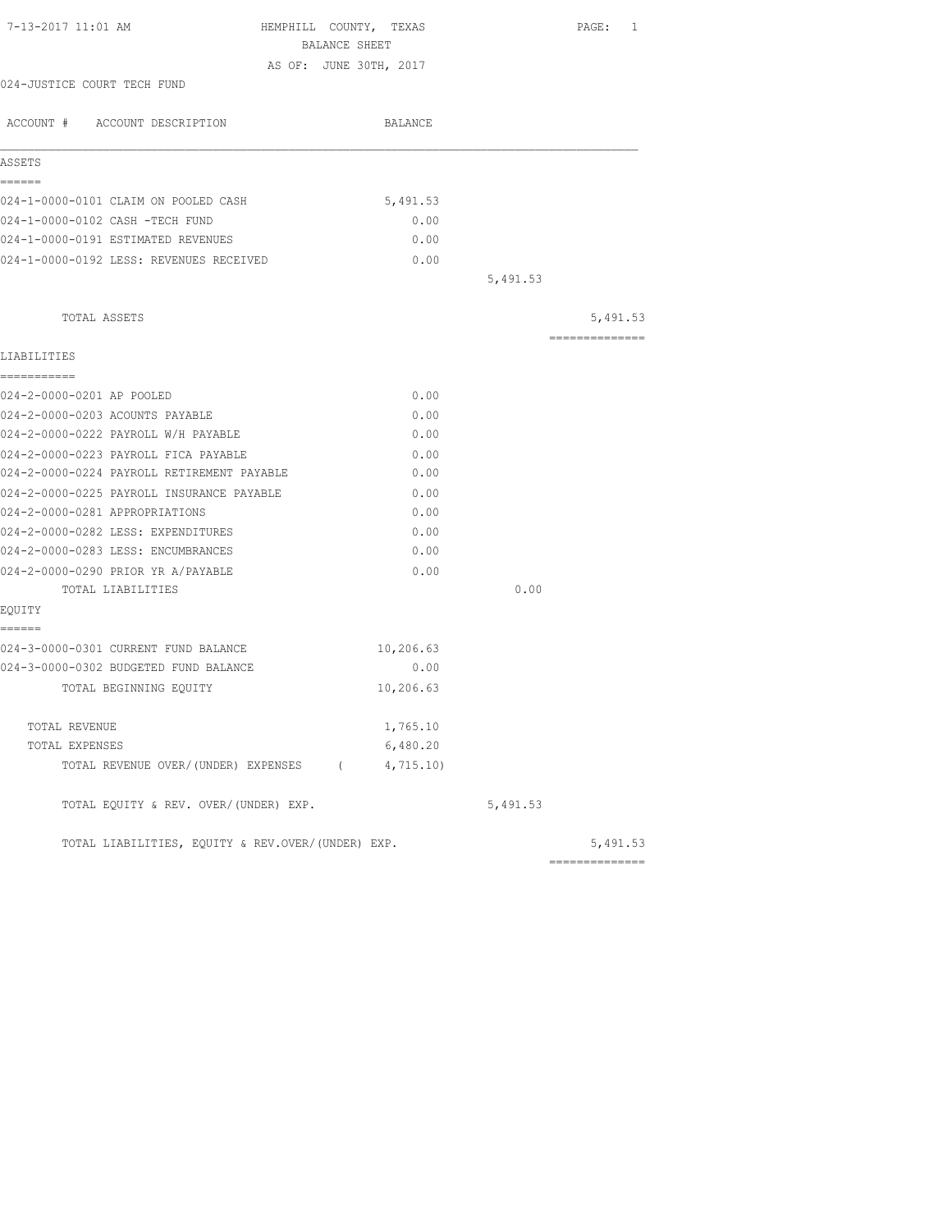| 7-13-2017 11:01 AM<br>HEMPHILL COUNTY, TEXAS<br>BALANCE SHEET |           |          | PAGE: 1         |
|---------------------------------------------------------------|-----------|----------|-----------------|
| AS OF: JUNE 30TH, 2017                                        |           |          |                 |
| 024-JUSTICE COURT TECH FUND                                   |           |          |                 |
|                                                               |           |          |                 |
| ACCOUNT # ACCOUNT DESCRIPTION                                 | BALANCE   |          |                 |
| ASSETS                                                        |           |          |                 |
| ------                                                        |           |          |                 |
| 024-1-0000-0101 CLAIM ON POOLED CASH                          | 5,491.53  |          |                 |
| 024-1-0000-0102 CASH -TECH FUND                               | 0.00      |          |                 |
| 024-1-0000-0191 ESTIMATED REVENUES                            | 0.00      |          |                 |
| 024-1-0000-0192 LESS: REVENUES RECEIVED                       | 0.00      |          |                 |
|                                                               |           | 5,491.53 |                 |
| TOTAL ASSETS                                                  |           |          | 5,491.53        |
| LIABILITIES                                                   |           |          | =============== |
| ------------                                                  |           |          |                 |
| 024-2-0000-0201 AP POOLED                                     | 0.00      |          |                 |
| 024-2-0000-0203 ACOUNTS PAYABLE                               | 0.00      |          |                 |
| 024-2-0000-0222 PAYROLL W/H PAYABLE                           | 0.00      |          |                 |
| 024-2-0000-0223 PAYROLL FICA PAYABLE                          | 0.00      |          |                 |
| 024-2-0000-0224 PAYROLL RETIREMENT PAYABLE                    | 0.00      |          |                 |
| 024-2-0000-0225 PAYROLL INSURANCE PAYABLE                     | 0.00      |          |                 |
| 024-2-0000-0281 APPROPRIATIONS                                | 0.00      |          |                 |
| 024-2-0000-0282 LESS: EXPENDITURES                            | 0.00      |          |                 |
| 024-2-0000-0283 LESS: ENCUMBRANCES                            | 0.00      |          |                 |
| 024-2-0000-0290 PRIOR YR A/PAYABLE                            | 0.00      |          |                 |
| TOTAL LIABILITIES                                             |           | 0.00     |                 |
| EQUITY                                                        |           |          |                 |
| ------<br>024-3-0000-0301 CURRENT FUND BALANCE                | 10,206.63 |          |                 |
| 024-3-0000-0302 BUDGETED FUND BALANCE                         | 0.00      |          |                 |
| TOTAL BEGINNING EQUITY                                        | 10,206.63 |          |                 |
|                                                               |           |          |                 |
| TOTAL REVENUE                                                 | 1,765.10  |          |                 |
| TOTAL EXPENSES                                                | 6,480.20  |          |                 |
| TOTAL REVENUE OVER/(UNDER) EXPENSES (4,715.10)                |           |          |                 |
| TOTAL EQUITY & REV. OVER/(UNDER) EXP.                         |           | 5,491.53 |                 |
| TOTAL LIABILITIES, EQUITY & REV.OVER/(UNDER) EXP.             |           |          | 5,491.53        |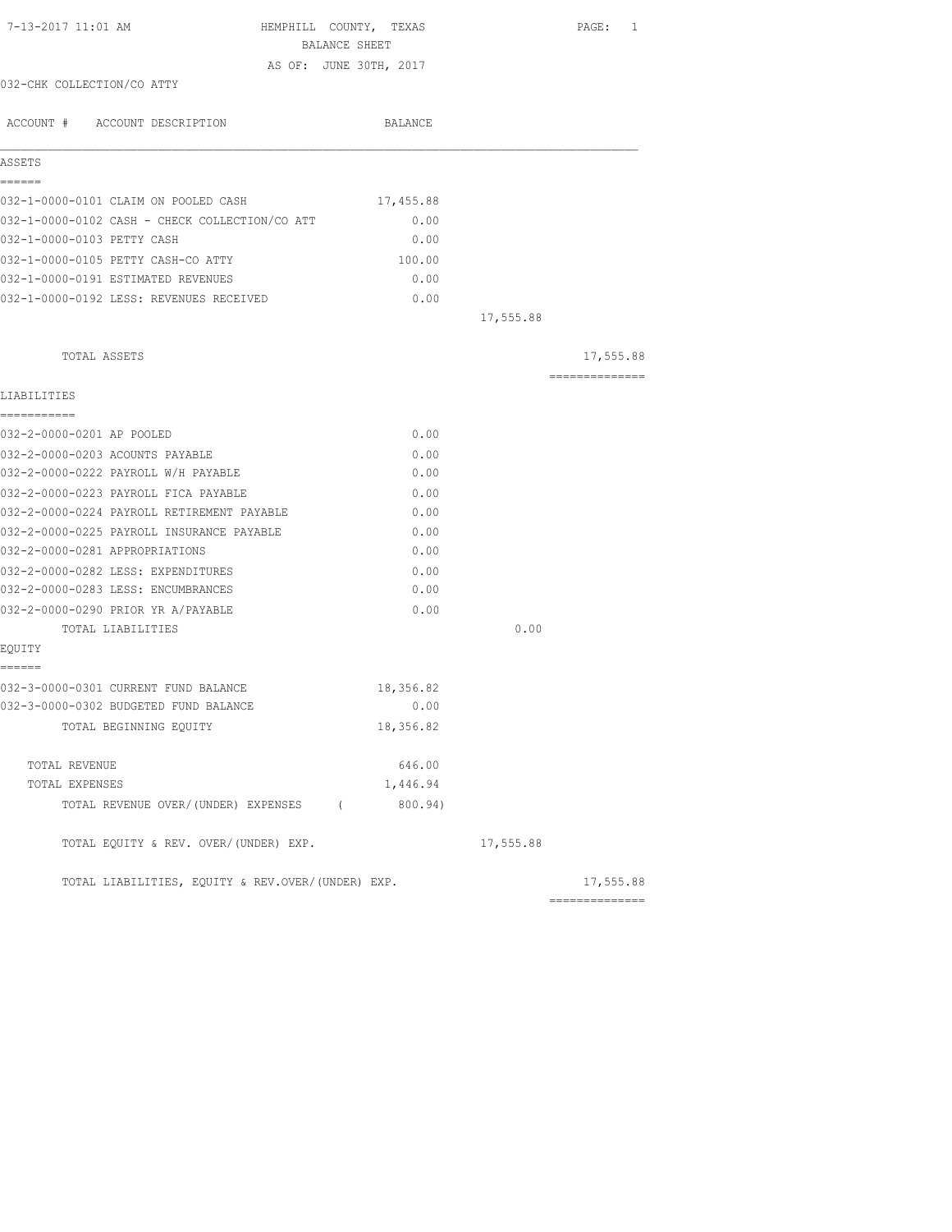| 7-13-2017 11:01 AM                                | HEMPHILL COUNTY, TEXAS<br>BALANCE SHEET |           | PAGE: 1         |
|---------------------------------------------------|-----------------------------------------|-----------|-----------------|
|                                                   | AS OF: JUNE 30TH, 2017                  |           |                 |
| 032-CHK COLLECTION/CO ATTY                        |                                         |           |                 |
| ACCOUNT # ACCOUNT DESCRIPTION                     | BALANCE                                 |           |                 |
| ASSETS                                            |                                         |           |                 |
| ======<br>032-1-0000-0101 CLAIM ON POOLED CASH    | 17,455.88                               |           |                 |
| 032-1-0000-0102 CASH - CHECK COLLECTION/CO ATT    | 0.00                                    |           |                 |
| 032-1-0000-0103 PETTY CASH                        | 0.00                                    |           |                 |
| 032-1-0000-0105 PETTY CASH-CO ATTY                | 100.00                                  |           |                 |
| 032-1-0000-0191 ESTIMATED REVENUES                | 0.00                                    |           |                 |
| 032-1-0000-0192 LESS: REVENUES RECEIVED           | 0.00                                    |           |                 |
|                                                   |                                         | 17,555.88 |                 |
| TOTAL ASSETS                                      |                                         |           | 17,555.88       |
| LIABILITIES                                       |                                         |           | --------------- |
| ===========                                       |                                         |           |                 |
| 032-2-0000-0201 AP POOLED                         | 0.00                                    |           |                 |
| 032-2-0000-0203 ACOUNTS PAYABLE                   | 0.00                                    |           |                 |
| 032-2-0000-0222 PAYROLL W/H PAYABLE               | 0.00                                    |           |                 |
| 032-2-0000-0223 PAYROLL FICA PAYABLE              | 0.00                                    |           |                 |
| 032-2-0000-0224 PAYROLL RETIREMENT PAYABLE        | 0.00                                    |           |                 |
| 032-2-0000-0225 PAYROLL INSURANCE PAYABLE         | 0.00                                    |           |                 |
| 032-2-0000-0281 APPROPRIATIONS                    | 0.00                                    |           |                 |
| 032-2-0000-0282 LESS: EXPENDITURES                | 0.00                                    |           |                 |
| 032-2-0000-0283 LESS: ENCUMBRANCES                | 0.00                                    |           |                 |
| 032-2-0000-0290 PRIOR YR A/PAYABLE                | 0.00                                    |           |                 |
| TOTAL LIABILITIES                                 |                                         | 0.00      |                 |
| EQUITY                                            |                                         |           |                 |
| ------<br>032-3-0000-0301 CURRENT FUND BALANCE    | 18,356.82                               |           |                 |
| 032-3-0000-0302 BUDGETED FUND BALANCE             | 0.00                                    |           |                 |
| TOTAL BEGINNING EQUITY                            | 18,356.82                               |           |                 |
| TOTAL REVENUE                                     | 646.00                                  |           |                 |
| TOTAL EXPENSES                                    | 1,446.94                                |           |                 |
| TOTAL REVENUE OVER/(UNDER) EXPENSES (             | 800.94)                                 |           |                 |
| TOTAL EQUITY & REV. OVER/(UNDER) EXP.             |                                         | 17,555.88 |                 |
| TOTAL LIABILITIES, EQUITY & REV.OVER/(UNDER) EXP. |                                         |           | 17,555.88       |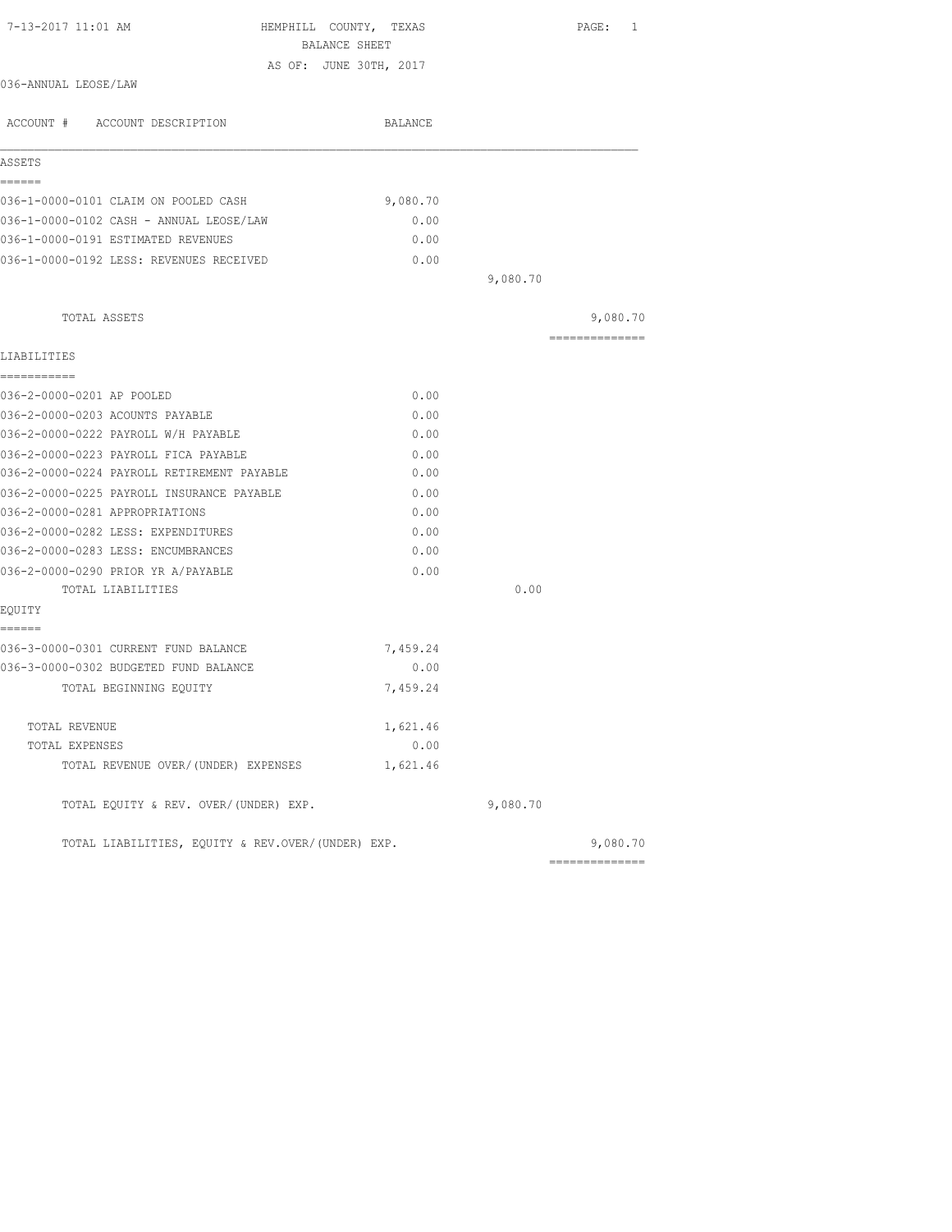| 7-13-2017 11:01 AM<br>HEMPHILL COUNTY, TEXAS<br>BALANCE SHEET |          |          | PAGE: 1        |
|---------------------------------------------------------------|----------|----------|----------------|
| AS OF: JUNE 30TH, 2017                                        |          |          |                |
| 036-ANNUAL LEOSE/LAW                                          |          |          |                |
| ACCOUNT # ACCOUNT DESCRIPTION                                 | BALANCE  |          |                |
| ASSETS                                                        |          |          |                |
| ======<br>036-1-0000-0101 CLAIM ON POOLED CASH                | 9,080.70 |          |                |
| 036-1-0000-0102 CASH - ANNUAL LEOSE/LAW                       | 0.00     |          |                |
| 036-1-0000-0191 ESTIMATED REVENUES                            | 0.00     |          |                |
| 036-1-0000-0192 LESS: REVENUES RECEIVED                       | 0.00     |          |                |
|                                                               |          | 9,080.70 |                |
| TOTAL ASSETS                                                  |          |          | 9,080.70       |
| LIABILITIES                                                   |          |          | ============== |
| -----------                                                   |          |          |                |
| 036-2-0000-0201 AP POOLED                                     | 0.00     |          |                |
| 036-2-0000-0203 ACOUNTS PAYABLE                               | 0.00     |          |                |
| 036-2-0000-0222 PAYROLL W/H PAYABLE                           | 0.00     |          |                |
| 036-2-0000-0223 PAYROLL FICA PAYABLE                          | 0.00     |          |                |
| 036-2-0000-0224 PAYROLL RETIREMENT PAYABLE                    | 0.00     |          |                |
| 036-2-0000-0225 PAYROLL INSURANCE PAYABLE                     | 0.00     |          |                |
| 036-2-0000-0281 APPROPRIATIONS                                | 0.00     |          |                |
| 036-2-0000-0282 LESS: EXPENDITURES                            | 0.00     |          |                |
| 036-2-0000-0283 LESS: ENCUMBRANCES                            | 0.00     |          |                |
| 036-2-0000-0290 PRIOR YR A/PAYABLE                            | 0.00     |          |                |
| TOTAL LIABILITIES                                             |          | 0.00     |                |
| EQUITY<br>======                                              |          |          |                |
| 036-3-0000-0301 CURRENT FUND BALANCE                          | 7,459.24 |          |                |
| 036-3-0000-0302 BUDGETED FUND BALANCE                         | 0.00     |          |                |
| TOTAL BEGINNING EQUITY                                        | 7,459.24 |          |                |
| TOTAL REVENUE                                                 | 1,621.46 |          |                |
| TOTAL EXPENSES                                                | 0.00     |          |                |
| TOTAL REVENUE OVER/(UNDER) EXPENSES                           | 1,621.46 |          |                |
| TOTAL EQUITY & REV. OVER/(UNDER) EXP.                         |          | 9,080.70 |                |
| TOTAL LIABILITIES, EQUITY & REV.OVER/(UNDER) EXP.             |          |          | 9,080.70       |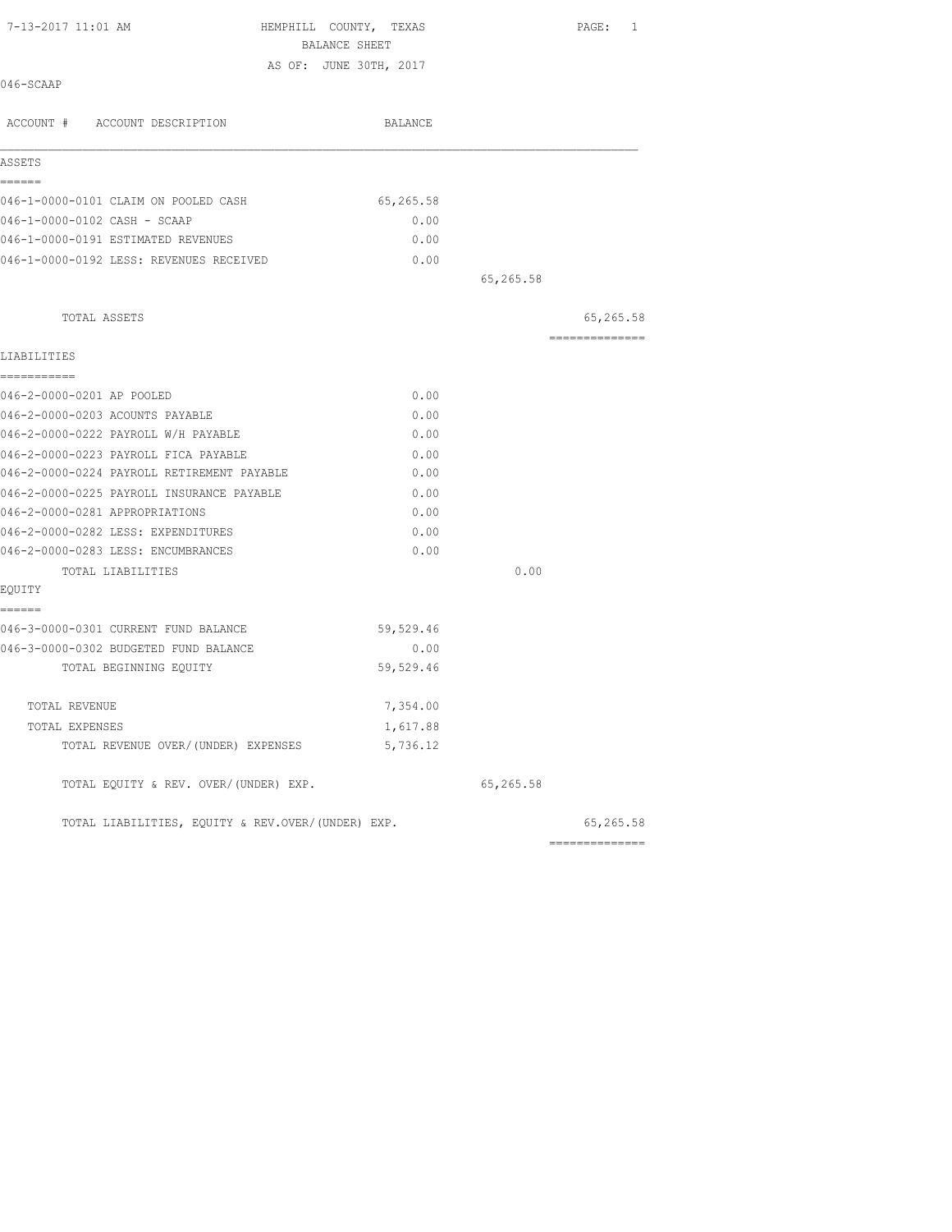| 7-13-2017 11:01 AM<br>HEMPHILL COUNTY, TEXAS      |                        |           | PAGE: 1         |
|---------------------------------------------------|------------------------|-----------|-----------------|
|                                                   | BALANCE SHEET          |           |                 |
| 046-SCAAP                                         | AS OF: JUNE 30TH, 2017 |           |                 |
| ACCOUNT # ACCOUNT DESCRIPTION                     | BALANCE                |           |                 |
| ASSETS                                            |                        |           |                 |
| ======<br>046-1-0000-0101 CLAIM ON POOLED CASH    | 65,265.58              |           |                 |
| 046-1-0000-0102 CASH - SCAAP                      | 0.00                   |           |                 |
| 046-1-0000-0191 ESTIMATED REVENUES                | 0.00                   |           |                 |
| 046-1-0000-0192 LESS: REVENUES RECEIVED           | 0.00                   |           |                 |
|                                                   |                        | 65,265.58 |                 |
| TOTAL ASSETS                                      |                        |           | 65,265.58       |
| LIABILITIES                                       |                        |           | =============== |
| ===========                                       |                        |           |                 |
| 046-2-0000-0201 AP POOLED                         | 0.00                   |           |                 |
| 046-2-0000-0203 ACOUNTS PAYABLE                   | 0.00                   |           |                 |
| 046-2-0000-0222 PAYROLL W/H PAYABLE               | 0.00                   |           |                 |
| 046-2-0000-0223 PAYROLL FICA PAYABLE              | 0.00                   |           |                 |
| 046-2-0000-0224 PAYROLL RETIREMENT PAYABLE        | 0.00                   |           |                 |
| 046-2-0000-0225 PAYROLL INSURANCE PAYABLE         | 0.00                   |           |                 |
| 046-2-0000-0281 APPROPRIATIONS                    | 0.00                   |           |                 |
| 046-2-0000-0282 LESS: EXPENDITURES                | 0.00                   |           |                 |
| 046-2-0000-0283 LESS: ENCUMBRANCES                | 0.00                   |           |                 |
| TOTAL LIABILITIES                                 |                        | 0.00      |                 |
| EQUITY                                            |                        |           |                 |
| ------<br>046-3-0000-0301 CURRENT FUND BALANCE    | 59,529.46              |           |                 |
| 046-3-0000-0302 BUDGETED FUND BALANCE             | 0.00                   |           |                 |
| TOTAL BEGINNING EQUITY                            | 59,529.46              |           |                 |
| TOTAL REVENUE                                     | 7,354.00               |           |                 |
| TOTAL EXPENSES                                    | 1,617.88               |           |                 |
| TOTAL REVENUE OVER/(UNDER) EXPENSES               | 5,736.12               |           |                 |
| TOTAL EQUITY & REV. OVER/(UNDER) EXP.             |                        | 65,265.58 |                 |
| TOTAL LIABILITIES, EQUITY & REV.OVER/(UNDER) EXP. |                        |           | 65,265.58       |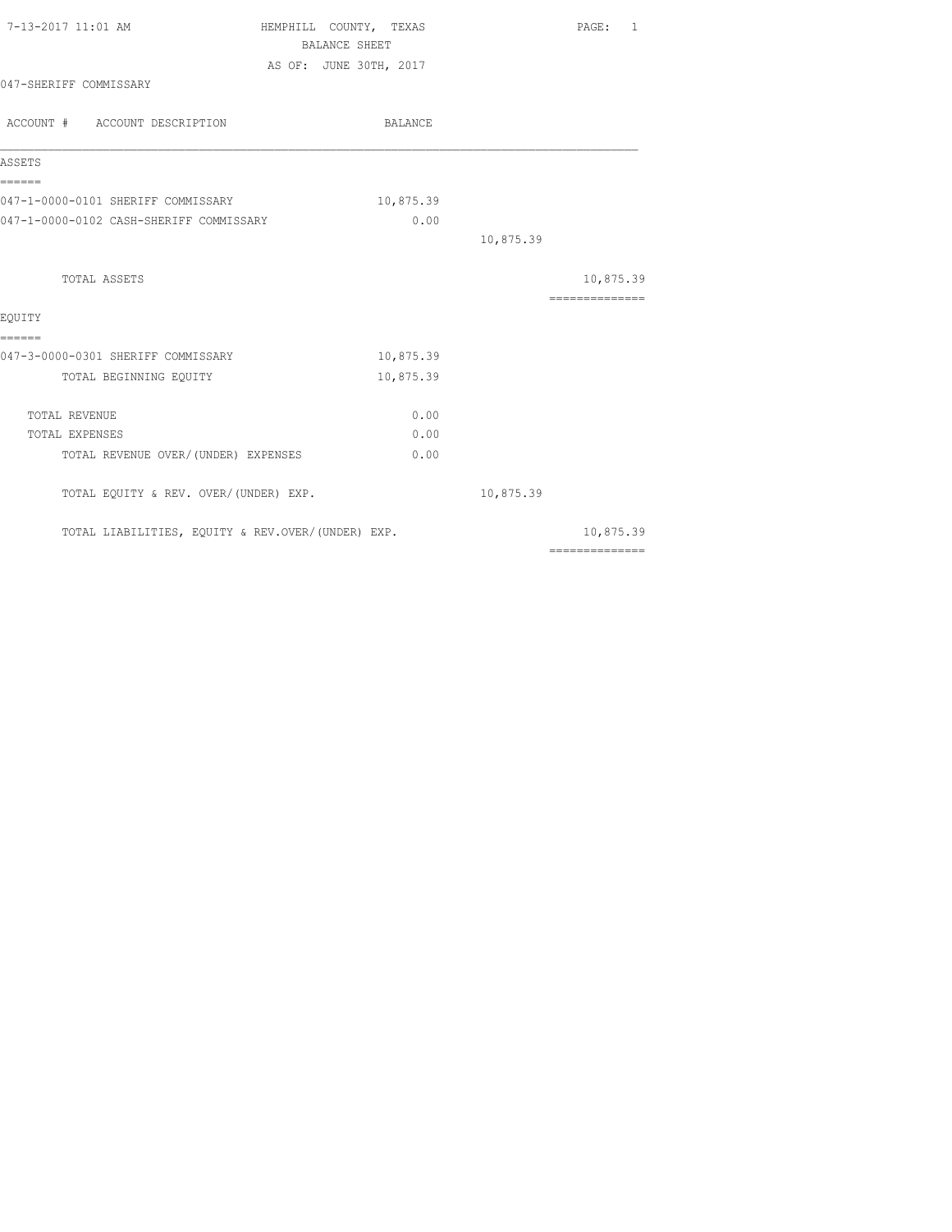| 7-13-2017 11:01 AM                                | HEMPHILL COUNTY, TEXAS<br><b>BALANCE SHEET</b> | PAGE: 1                                                                                                                                                                                                                                                                                                                                                                                                                                                                                |
|---------------------------------------------------|------------------------------------------------|----------------------------------------------------------------------------------------------------------------------------------------------------------------------------------------------------------------------------------------------------------------------------------------------------------------------------------------------------------------------------------------------------------------------------------------------------------------------------------------|
|                                                   | AS OF: JUNE 30TH, 2017                         |                                                                                                                                                                                                                                                                                                                                                                                                                                                                                        |
| 047-SHERIFF COMMISSARY                            |                                                |                                                                                                                                                                                                                                                                                                                                                                                                                                                                                        |
| ACCOUNT # ACCOUNT DESCRIPTION                     | BALANCE                                        |                                                                                                                                                                                                                                                                                                                                                                                                                                                                                        |
| ASSETS                                            |                                                |                                                                                                                                                                                                                                                                                                                                                                                                                                                                                        |
| ------<br>047-1-0000-0101 SHERIFF COMMISSARY      | 10,875.39                                      |                                                                                                                                                                                                                                                                                                                                                                                                                                                                                        |
| 047-1-0000-0102 CASH-SHERIFF COMMISSARY           | 0.00                                           |                                                                                                                                                                                                                                                                                                                                                                                                                                                                                        |
|                                                   |                                                | 10,875.39                                                                                                                                                                                                                                                                                                                                                                                                                                                                              |
| TOTAL ASSETS                                      |                                                | 10,875.39                                                                                                                                                                                                                                                                                                                                                                                                                                                                              |
|                                                   |                                                | ---------------                                                                                                                                                                                                                                                                                                                                                                                                                                                                        |
| EOUITY<br>======                                  |                                                |                                                                                                                                                                                                                                                                                                                                                                                                                                                                                        |
| 047-3-0000-0301 SHERIFF COMMISSARY                | 10,875.39                                      |                                                                                                                                                                                                                                                                                                                                                                                                                                                                                        |
| TOTAL BEGINNING EQUITY                            | 10,875.39                                      |                                                                                                                                                                                                                                                                                                                                                                                                                                                                                        |
| <b>TOTAL REVENUE</b>                              | 0.00                                           |                                                                                                                                                                                                                                                                                                                                                                                                                                                                                        |
| TOTAL EXPENSES                                    | 0.00                                           |                                                                                                                                                                                                                                                                                                                                                                                                                                                                                        |
| TOTAL REVENUE OVER/ (UNDER) EXPENSES              | 0.00                                           |                                                                                                                                                                                                                                                                                                                                                                                                                                                                                        |
| TOTAL EQUITY & REV. OVER/(UNDER) EXP.             |                                                | 10,875.39                                                                                                                                                                                                                                                                                                                                                                                                                                                                              |
| TOTAL LIABILITIES, EQUITY & REV.OVER/(UNDER) EXP. |                                                | 10,875.39                                                                                                                                                                                                                                                                                                                                                                                                                                                                              |
|                                                   |                                                | $\begin{array}{cccccccccccccc} \multicolumn{2}{c}{} & \multicolumn{2}{c}{} & \multicolumn{2}{c}{} & \multicolumn{2}{c}{} & \multicolumn{2}{c}{} & \multicolumn{2}{c}{} & \multicolumn{2}{c}{} & \multicolumn{2}{c}{} & \multicolumn{2}{c}{} & \multicolumn{2}{c}{} & \multicolumn{2}{c}{} & \multicolumn{2}{c}{} & \multicolumn{2}{c}{} & \multicolumn{2}{c}{} & \multicolumn{2}{c}{} & \multicolumn{2}{c}{} & \multicolumn{2}{c}{} & \multicolumn{2}{c}{} & \multicolumn{2}{c}{} & \$ |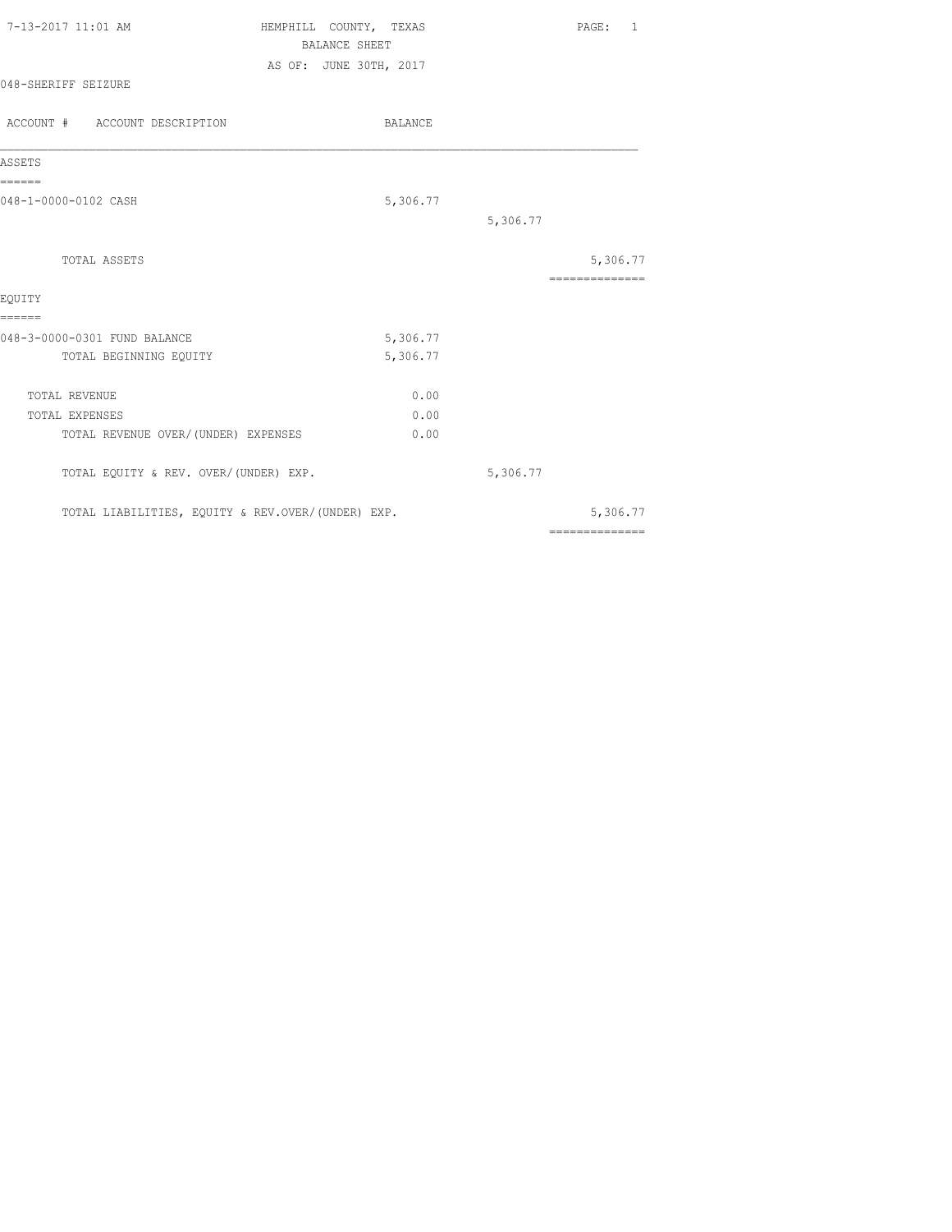| 7-13-2017 11:01 AM                                | HEMPHILL COUNTY, TEXAS | PAGE: 1        |
|---------------------------------------------------|------------------------|----------------|
|                                                   | <b>BALANCE SHEET</b>   |                |
|                                                   | AS OF: JUNE 30TH, 2017 |                |
| 048-SHERIFF SEIZURE                               |                        |                |
| ACCOUNT # ACCOUNT DESCRIPTION                     | BALANCE                |                |
| ASSETS                                            |                        |                |
| ======                                            |                        |                |
| 048-1-0000-0102 CASH                              | 5,306.77               |                |
|                                                   |                        | 5,306.77       |
| TOTAL ASSETS                                      |                        | 5,306.77       |
| EQUITY                                            |                        | ============== |
| ======<br>048-3-0000-0301 FUND BALANCE            | 5,306.77               |                |
| TOTAL BEGINNING EQUITY                            | 5,306.77               |                |
| TOTAL REVENUE                                     | 0.00                   |                |
| TOTAL EXPENSES                                    | 0.00                   |                |
| TOTAL REVENUE OVER/ (UNDER) EXPENSES              | 0.00                   |                |
| TOTAL EQUITY & REV. OVER/(UNDER) EXP.             |                        | 5,306.77       |
| TOTAL LIABILITIES, EQUITY & REV.OVER/(UNDER) EXP. |                        | 5,306.77       |